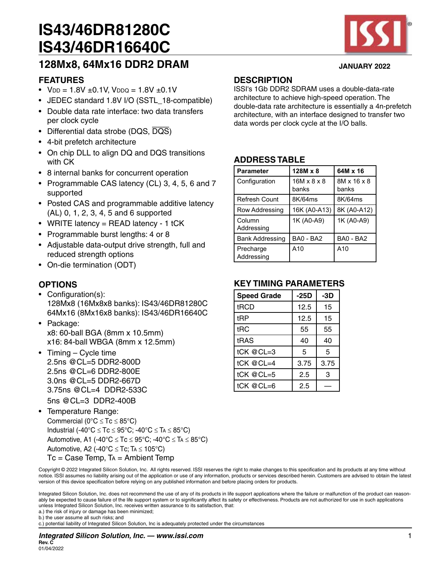

# **128Mx8, 64Mx16 DDR2 DRAM JANUARY 2022**

### **FEATURES**

- $V_{DD} = 1.8V \pm 0.1V$ ,  $V_{DDQ} = 1.8V \pm 0.1V$
- JEDEC standard 1.8V I/O (SSTL\_18-compatible)
- Double data rate interface: two data transfers per clock cycle
- Differential data strobe (DQS, DQS)
- 4-bit prefetch architecture
- On chip DLL to align DQ and DQS transitions with CK
- 8 internal banks for concurrent operation
- Programmable CAS latency (CL) 3, 4, 5, 6 and 7 supported
- Posted CAS and programmable additive latency (AL) 0, 1, 2, 3, 4, 5 and 6 supported
- WRITE latency = READ latency 1 tCK
- Programmable burst lengths: 4 or 8
- Adjustable data-output drive strength, full and reduced strength options
- On-die termination (ODT)

### **OPTIONS**

- Configuration(s): 128Mx8 (16Mx8x8 banks): IS43/46DR81280C 64Mx16 (8Mx16x8 banks): IS43/46DR16640C
- Package: x8: 60-ball BGA (8mm x 10.5mm) x16: 84-ball WBGA (8mm x 12.5mm)
- Timing Cycle time 2.5ns @CL=5 DDR2-800D 2.5ns @CL=6 DDR2-800E 3.0ns @CL=5 DDR2-667D 3.75ns @CL=4 DDR2-533C 5ns @CL=3 DDR2-400B
- Temperature Range: Commercial ( $0^{\circ}C \leq Tc \leq 85^{\circ}C$ ) Industrial (-40°C  $\leq$  Tc  $\leq$  95°C; -40°C  $\leq$  Ta  $\leq$  85°C) Automotive, A1 (-40°C  $\leq$  Tc  $\leq$  95°C; -40°C  $\leq$  Ta  $\leq$  85°C) Automotive, A2 (-40 $^{\circ}$ C  $\leq$  Tc; TA  $\leq$  105 $^{\circ}$ C)  $Tc = Case$  Temp,  $Ta =$  Ambient Temp

### **DESCRIPTION**

ISSI's 1Gb DDR2 SDRAM uses a double-data-rate architecture to achieve high-speed operation. The double-data rate architecture is essentially a 4n-prefetch architecture, with an interface designed to transfer two data words per clock cycle at the I/O balls.

### **ADDRESS TABLE**

| <b>Parameter</b>        | $128M \times 8$                  | 64M x 16             |
|-------------------------|----------------------------------|----------------------|
| Configuration           | $16M \times 8 \times 8$<br>banks | 8M x 16 x 8<br>banks |
| <b>Refresh Count</b>    | 8K/64ms                          | 8K/64ms              |
| Row Addressing          | 16K (A0-A13)                     | 8K (A0-A12)          |
| Column<br>Addressing    | 1K (A0-A9)                       | 1K (A0-A9)           |
| <b>Bank Addressing</b>  | <b>BA0 - BA2</b>                 | <b>BA0 - BA2</b>     |
| Precharge<br>Addressing | A10                              | A10                  |

### **KEY TIMING PARAMETERS**

| <b>Speed Grade</b> | $-25D$ | $-3D$ |
|--------------------|--------|-------|
| tRCD               | 12.5   | 15    |
| tRP                | 12.5   | 15    |
| tRC                | 55     | 55    |
| tRAS               | 40     | 40    |
| tCK @CL=3          | 5      | 5     |
| tCK @CL=4          | 3.75   | 3.75  |
| tCK @CL=5          | 2.5    | 3     |
| tCK @CL=6          | 2.5    |       |

Copyright © 2022 Integrated Silicon Solution, Inc. All rights reserved. ISSI reserves the right to make changes to this specification and its products at any time without notice. ISSI assumes no liability arising out of the application or use of any information, products or services described herein. Customers are advised to obtain the latest version of this device specification before relying on any published information and before placing orders for products.

Integrated Silicon Solution, Inc. does not recommend the use of any of its products in life support applications where the failure or malfunction of the product can reasonably be expected to cause failure of the life support system or to significantly affect its safety or effectiveness. Products are not authorized for use in such applications unless Integrated Silicon Solution, Inc. receives written assurance to its satisfaction, that:

a.) the risk of injury or damage has been minimized;

b.) the user assume all such risks; and

c.) potential liability of Integrated Silicon Solution, Inc is adequately protected under the circumstances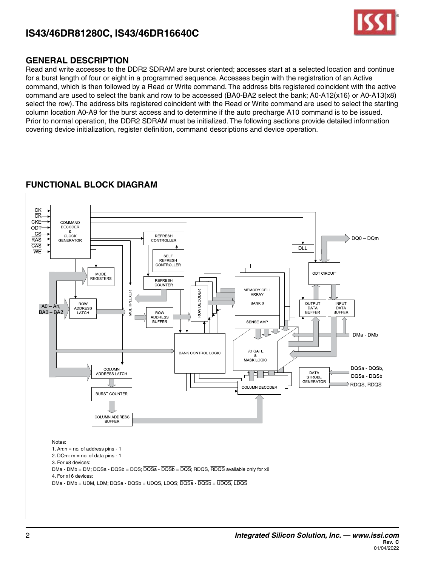

### **GENERAL DESCRIPTION**

Read and write accesses to the DDR2 SDRAM are burst oriented; accesses start at a selected location and continue for a burst length of four or eight in a programmed sequence. Accesses begin with the registration of an Active command, which is then followed by a Read or Write command. The address bits registered coincident with the active command are used to select the bank and row to be accessed (BA0-BA2 select the bank; A0-A12(x16) or A0-A13(x8) select the row). The address bits registered coincident with the Read or Write command are used to select the starting column location A0-A9 for the burst access and to determine if the auto precharge A10 command is to be issued. Prior to normal operation, the DDR2 SDRAM must be initialized. The following sections provide detailed information covering device initialization, register definition, command descriptions and device operation.

### **FUNCTIONAL BLOCK DIAGRAM**

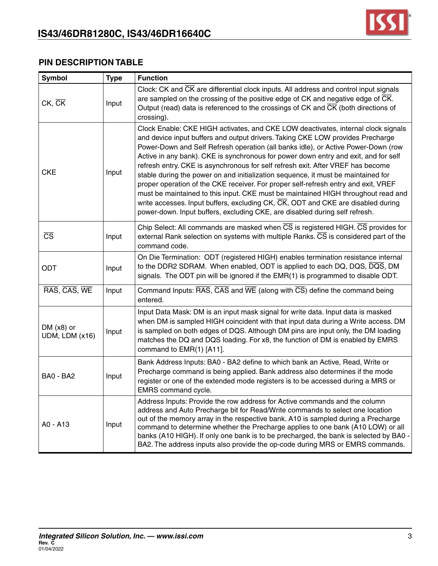

### **PIN DESCRIPTION TABLE**

| <b>Symbol</b>                  | <b>Type</b> | <b>Function</b>                                                                                                                                                                                                                                                                                                                                                                                                                                                                                                                                                                                                                                                                                                                                                                                                                                                                        |
|--------------------------------|-------------|----------------------------------------------------------------------------------------------------------------------------------------------------------------------------------------------------------------------------------------------------------------------------------------------------------------------------------------------------------------------------------------------------------------------------------------------------------------------------------------------------------------------------------------------------------------------------------------------------------------------------------------------------------------------------------------------------------------------------------------------------------------------------------------------------------------------------------------------------------------------------------------|
| $CK$ , $CK$                    | Input       | Clock: CK and CK are differential clock inputs. All address and control input signals<br>are sampled on the crossing of the positive edge of CK and negative edge of $\overline{\text{CK}}$ .<br>Output (read) data is referenced to the crossings of CK and $\overline{CK}$ (both directions of<br>crossing).                                                                                                                                                                                                                                                                                                                                                                                                                                                                                                                                                                         |
| <b>CKE</b>                     | Input       | Clock Enable: CKE HIGH activates, and CKE LOW deactivates, internal clock signals<br>and device input buffers and output drivers. Taking CKE LOW provides Precharge<br>Power-Down and Self Refresh operation (all banks idle), or Active Power-Down (row<br>Active in any bank). CKE is synchronous for power down entry and exit, and for self<br>refresh entry. CKE is asynchronous for self refresh exit. After VREF has become<br>stable during the power on and initialization sequence, it must be maintained for<br>proper operation of the CKE receiver. For proper self-refresh entry and exit, VREF<br>must be maintained to this input. CKE must be maintained HIGH throughout read and<br>write accesses. Input buffers, excluding $CK$ , $\overline{CK}$ , ODT and CKE are disabled during<br>power-down. Input buffers, excluding CKE, are disabled during self refresh. |
| $\overline{\text{CS}}$         | Input       | Chip Select: All commands are masked when $\overline{\text{CS}}$ is registered HIGH. $\overline{\text{CS}}$ provides for<br>external Rank selection on systems with multiple Ranks. CS is considered part of the<br>command code.                                                                                                                                                                                                                                                                                                                                                                                                                                                                                                                                                                                                                                                      |
| ODT                            | Input       | On Die Termination: ODT (registered HIGH) enables termination resistance internal<br>to the DDR2 SDRAM. When enabled, ODT is applied to each DQ, DQS, DQS, DM<br>signals. The ODT pin will be ignored if the EMR(1) is programmed to disable ODT.                                                                                                                                                                                                                                                                                                                                                                                                                                                                                                                                                                                                                                      |
| RAS, CAS, WE                   | Input       | Command Inputs: RAS, CAS and WE (along with CS) define the command being<br>entered.                                                                                                                                                                                                                                                                                                                                                                                                                                                                                                                                                                                                                                                                                                                                                                                                   |
| DM $(x8)$ or<br>UDM, LDM (x16) | Input       | Input Data Mask: DM is an input mask signal for write data. Input data is masked<br>when DM is sampled HIGH coincident with that input data during a Write access. DM<br>is sampled on both edges of DQS. Although DM pins are input only, the DM loading<br>matches the DQ and DQS loading. For x8, the function of DM is enabled by EMRS<br>command to EMR(1) [A11].                                                                                                                                                                                                                                                                                                                                                                                                                                                                                                                 |
| BA0 - BA2                      | Input       | Bank Address Inputs: BA0 - BA2 define to which bank an Active, Read, Write or<br>Precharge command is being applied. Bank address also determines if the mode<br>register or one of the extended mode registers is to be accessed during a MRS or<br>EMRS command cycle.                                                                                                                                                                                                                                                                                                                                                                                                                                                                                                                                                                                                               |
| A0 - A13                       | Input       | Address Inputs: Provide the row address for Active commands and the column<br>address and Auto Precharge bit for Read/Write commands to select one location<br>out of the memory array in the respective bank. A10 is sampled during a Precharge<br>command to determine whether the Precharge applies to one bank (A10 LOW) or all<br>banks (A10 HIGH). If only one bank is to be precharged, the bank is selected by BA0 -<br>BA2. The address inputs also provide the op-code during MRS or EMRS commands.                                                                                                                                                                                                                                                                                                                                                                          |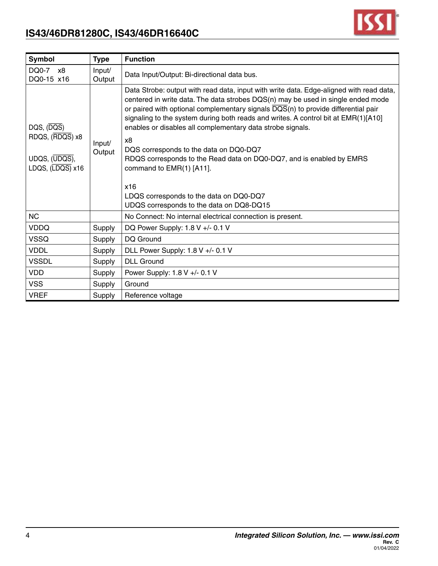

| Symbol                                                                          | <b>Type</b>      | <b>Function</b>                                                                                                                                                                                                                                                                                                                                                                                                                                                                                                                                                                                                                                                                     |
|---------------------------------------------------------------------------------|------------------|-------------------------------------------------------------------------------------------------------------------------------------------------------------------------------------------------------------------------------------------------------------------------------------------------------------------------------------------------------------------------------------------------------------------------------------------------------------------------------------------------------------------------------------------------------------------------------------------------------------------------------------------------------------------------------------|
| DQ0-7 x8<br>DQ0-15 x16                                                          | Input/<br>Output | Data Input/Output: Bi-directional data bus.                                                                                                                                                                                                                                                                                                                                                                                                                                                                                                                                                                                                                                         |
| DQS, (DQS)<br>RDQS, (RDQS) x8<br>UDQS, (UDQS),<br>LDQS, $(\overline{LDQS})$ x16 | Input/<br>Output | Data Strobe: output with read data, input with write data. Edge-aligned with read data,<br>centered in write data. The data strobes DQS(n) may be used in single ended mode<br>or paired with optional complementary signals $\overline{DQS}(n)$ to provide differential pair<br>signaling to the system during both reads and writes. A control bit at EMR(1)[A10]<br>enables or disables all complementary data strobe signals.<br>x8<br>DQS corresponds to the data on DQ0-DQ7<br>RDQS corresponds to the Read data on DQ0-DQ7, and is enabled by EMRS<br>command to EMR(1) [A11].<br>x16<br>LDQS corresponds to the data on DQ0-DQ7<br>UDQS corresponds to the data on DQ8-DQ15 |
| NC                                                                              |                  | No Connect: No internal electrical connection is present.                                                                                                                                                                                                                                                                                                                                                                                                                                                                                                                                                                                                                           |
| <b>VDDQ</b>                                                                     | Supply           | DQ Power Supply: 1.8 V +/- 0.1 V                                                                                                                                                                                                                                                                                                                                                                                                                                                                                                                                                                                                                                                    |
| <b>VSSQ</b>                                                                     | Supply           | DQ Ground                                                                                                                                                                                                                                                                                                                                                                                                                                                                                                                                                                                                                                                                           |
| <b>VDDL</b>                                                                     | Supply           | DLL Power Supply: 1.8 V +/- 0.1 V                                                                                                                                                                                                                                                                                                                                                                                                                                                                                                                                                                                                                                                   |
| <b>VSSDL</b>                                                                    | Supply           | <b>DLL Ground</b>                                                                                                                                                                                                                                                                                                                                                                                                                                                                                                                                                                                                                                                                   |
| <b>VDD</b>                                                                      | Supply           | Power Supply: 1.8 V +/- 0.1 V                                                                                                                                                                                                                                                                                                                                                                                                                                                                                                                                                                                                                                                       |
| <b>VSS</b>                                                                      | Supply           | Ground                                                                                                                                                                                                                                                                                                                                                                                                                                                                                                                                                                                                                                                                              |
| <b>VREF</b>                                                                     | Supply           | Reference voltage                                                                                                                                                                                                                                                                                                                                                                                                                                                                                                                                                                                                                                                                   |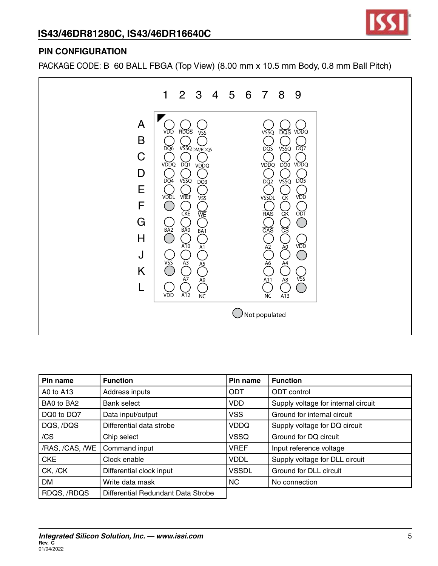



### **PIN CONFIGURATION**

PACKAGE CODE: B 60 BALL FBGA (Top View) (8.00 mm x 10.5 mm Body, 0.8 mm Ball Pitch)



| Pin name        | <b>Function</b>                    | Pin name     | <b>Function</b>                     |
|-----------------|------------------------------------|--------------|-------------------------------------|
| A0 to A13       | Address inputs                     | <b>ODT</b>   | <b>ODT</b> control                  |
| BA0 to BA2      | <b>Bank select</b>                 | <b>VDD</b>   | Supply voltage for internal circuit |
| DQ0 to DQ7      | Data input/output                  | <b>VSS</b>   | Ground for internal circuit         |
| DQS, /DQS       | Differential data strobe           | <b>VDDQ</b>  | Supply voltage for DQ circuit       |
| /CS             | Chip select                        | <b>VSSQ</b>  | Ground for DQ circuit               |
| /RAS, /CAS, /WE | Command input                      | <b>VREF</b>  | Input reference voltage             |
| <b>CKE</b>      | Clock enable                       | <b>VDDL</b>  | Supply voltage for DLL circuit      |
| CK, /CK         | Differential clock input           | <b>VSSDL</b> | Ground for DLL circuit              |
| <b>DM</b>       | Write data mask                    | NC.          | No connection                       |
| RDQS, /RDQS     | Differential Redundant Data Strobe |              |                                     |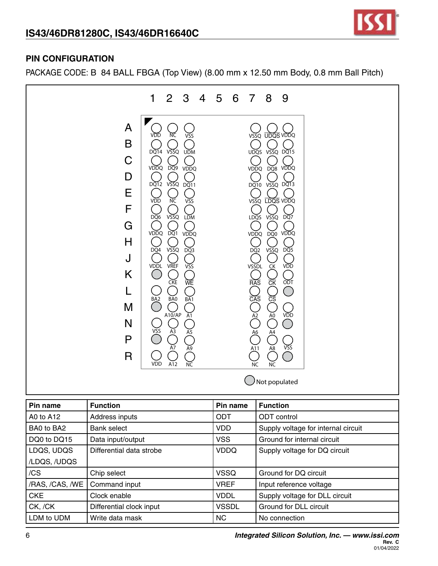

### **PIN CONFIGURATION**

PACKAGE CODE: B 84 BALL FBGA (Top View) (8.00 mm x 12.50 mm Body, 0.8 mm Ball Pitch)



| Pin name        | <b>Function</b>          | Pin name     | <b>Function</b>                     |
|-----------------|--------------------------|--------------|-------------------------------------|
| A0 to A12       | Address inputs           | <b>ODT</b>   | <b>ODT</b> control                  |
| BA0 to BA2      | <b>Bank select</b>       | <b>VDD</b>   | Supply voltage for internal circuit |
| DQ0 to DQ15     | Data input/output        | <b>VSS</b>   | Ground for internal circuit         |
| LDQS, UDQS      | Differential data strobe | <b>VDDQ</b>  | Supply voltage for DQ circuit       |
| /LDQS, /UDQS    |                          |              |                                     |
| /CS             | Chip select              | <b>VSSQ</b>  | Ground for DQ circuit               |
| /RAS, /CAS, /WE | Command input            | <b>VREF</b>  | Input reference voltage             |
| <b>CKE</b>      | Clock enable             | <b>VDDL</b>  | Supply voltage for DLL circuit      |
| CK, /CK         | Differential clock input | <b>VSSDL</b> | Ground for DLL circuit              |
| LDM to UDM      | Write data mask          | <b>NC</b>    | No connection                       |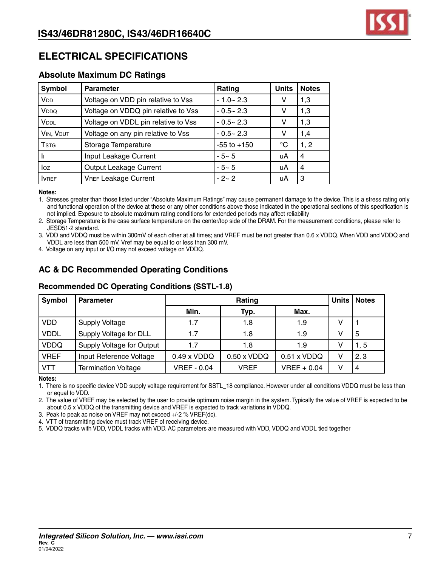

# **ELECTRICAL SPECIFICATIONS**

### **Absolute Maximum DC Ratings**

| Symbol                  | <b>Parameter</b>                    | Rating          | <b>Units</b> | <b>Notes</b>   |
|-------------------------|-------------------------------------|-----------------|--------------|----------------|
| <b>V<sub>DD</sub></b>   | Voltage on VDD pin relative to Vss  | $-1.0 - 2.3$    | v            | 1,3            |
| V <sub>DDQ</sub>        | Voltage on VDDQ pin relative to Vss | $-0.5 - 2.3$    | v            | 1,3            |
| <b>VDDL</b>             | Voltage on VDDL pin relative to Vss | $-0.5 - 2.3$    | v            | 1,3            |
| VIN, VOUT               | Voltage on any pin relative to Vss  | $-0.5 - 2.3$    | v            | 1,4            |
| <b>T</b> <sub>STG</sub> | Storage Temperature                 | $-55$ to $+150$ | °C           | 1, 2           |
|                         | Input Leakage Current               | $-5 - 5$        | uA           | $\overline{4}$ |
| loz                     | Output Leakage Current              | $-5-5$          | uA           | $\overline{4}$ |
| <b>IVREF</b>            | <b>VREF Leakage Current</b>         | $-2-2$          | uA           | 3              |

#### **Notes:**

1. Stresses greater than those listed under "Absolute Maximum Ratings" may cause permanent damage to the device. This is a stress rating only and functional operation of the device at these or any other conditions above those indicated in the operational sections of this specification is not implied. Exposure to absolute maximum rating conditions for extended periods may affect reliability

2. Storage Temperature is the case surface temperature on the center/top side of the DRAM. For the measurement conditions, please refer to JESD51-2 standard.

3. VDD and VDDQ must be within 300mV of each other at all times; and VREF must be not greater than 0.6 x VDDQ. When VDD and VDDQ and VDDL are less than 500 mV, Vref may be equal to or less than 300 mV.

4. Voltage on any input or I/O may not exceed voltage on VDDQ.

### **AC & DC Recommended Operating Conditions**

### **Recommended DC Operating Conditions (SSTL-1.8)**

| Symbol      | <b>Parameter</b>           | Rating             |                    |               |   | Units   Notes |
|-------------|----------------------------|--------------------|--------------------|---------------|---|---------------|
|             |                            | Min.               | Typ.               | Max.          |   |               |
| VDD         | <b>Supply Voltage</b>      | 1.7                | 1.8                | 1.9           |   |               |
| <b>VDDL</b> | Supply Voltage for DLL     | 1.7                | 1.8                | 1.9           |   | 5             |
| <b>VDDQ</b> | Supply Voltage for Output  | 1.7                | 1.8                | 1.9           | v | 1, 5          |
| <b>VREF</b> | Input Reference Voltage    | $0.49 \times VDDQ$ | $0.50 \times VDDQ$ | 0.51 x VDDQ   | v | 2.3           |
| <b>VTT</b>  | <b>Termination Voltage</b> | <b>VREF - 0.04</b> | <b>VREF</b>        | $VREF + 0.04$ | v |               |

**Notes:**

1. There is no specific device VDD supply voltage requirement for SSTL\_18 compliance. However under all conditions VDDQ must be less than or equal to VDD.

2. The value of VREF may be selected by the user to provide optimum noise margin in the system. Typically the value of VREF is expected to be about 0.5 x VDDQ of the transmitting device and VREF is expected to track variations in VDDQ.

3. Peak to peak ac noise on VREF may not exceed +/-2 % VREF(dc).

4. VTT of transmitting device must track VREF of receiving device.

5. VDDQ tracks with VDD, VDDL tracks with VDD. AC parameters are measured with VDD, VDDQ and VDDL tied together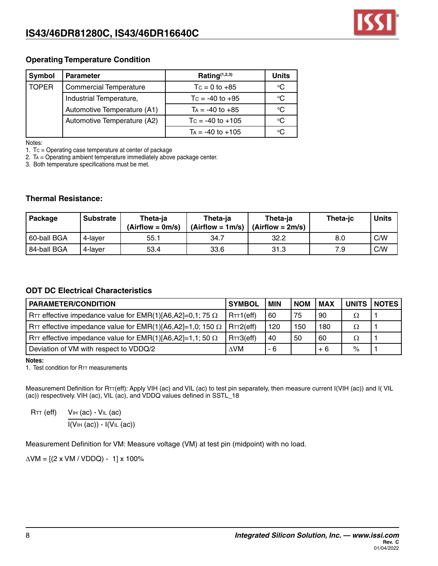

### **Operating Temperature Condition**

| Symbol       | <b>Parameter</b>              | Rating $(1,2,3)$      | Units       |
|--------------|-------------------------------|-----------------------|-------------|
| <b>TOPER</b> | <b>Commercial Temperature</b> | $Tc = 0$ to $+85$     | $^{\circ}C$ |
|              | Industrial Temperature,       | Tc = $-40$ to $+95$   | ∘C          |
|              | Automotive Temperature (A1)   | $Ta = -40$ to $+85$   | °C          |
|              | Automotive Temperature (A2)   | $T_c = -40$ to $+105$ | $^{\circ}C$ |
|              |                               | $Ta = -40$ to $+105$  | °C          |

Notes:

1. Tc = Operating case temperature at center of package

2. Ta = Operating ambient temperature immediately above package center.

3. Both temperature specifications must be met.

#### **Thermal Resistance:**

| Package     | <b>Substrate</b> | Theta-ia<br>$(Airflow = 0m/s)$ | Theta-ia<br>$(Airflow = 1m/s)$ | Theta-ia<br>$(Airflow = 2m/s)$ | Theta-jc | <b>Units</b> |
|-------------|------------------|--------------------------------|--------------------------------|--------------------------------|----------|--------------|
| 60-ball BGA | 4-laver          | 55.1                           | 34.7                           | 32.2                           | 8.0      | C/W          |
| 84-ball BGA | 4-laver          | 53.4                           | 33.6                           | 31.3                           | 7.9      | C/W          |

### **ODT DC Electrical Characteristics**

| <b>PARAMETER/CONDITION</b>                                                    | <b>SYMBOL</b> | l MIN. | <b>NOM</b> | MAX  |   | UNITS   NOTES |
|-------------------------------------------------------------------------------|---------------|--------|------------|------|---|---------------|
| RTT effective impedance value for EMR(1)[A6,A2]=0,1; 75 $\Omega$              | RTT1(eff)     | 60     | 75         | l 90 | Ω |               |
| RTT effective impedance value for EMR(1)[A6,A2]=1,0; 150 $\Omega$   RTT2(eff) |               | 120    | 150        | 180  | Ω |               |
| RTT effective impedance value for EMR(1)[A6,A2]=1,1; 50 $\Omega$              | RTT3(eff)     | 40     | 50         | -60  | Ω |               |
| Deviation of VM with respect to VDDQ/2                                        | AVM.          | - 6    |            | $+6$ | % |               |

**Notes:**

1. Test condition for RTT measurements

Measurement Definition for  $R_{TT}(eff)$ : Apply VIH (ac) and VIL (ac) to test pin separately, then measure current I(VIH (ac)) and I(VIL (ac)) respectively. VIH (ac), VIL (ac), and VDDQ values defined in SSTL\_18

 $RTT$  (eff)  $VIH$  (ac) -  $VIL$  (ac)

 $\overline{I(VHH (ac)) - I(VHL (ac))}$ 

Measurement Definition for VM: Measure voltage (VM) at test pin (midpoint) with no load.

 $\triangle$ VM = [(2 x VM / VDDQ) - 1] x 100%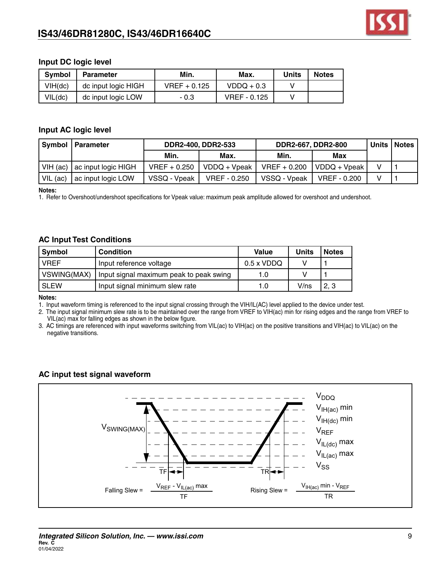

### **Input DC logic level**

| <b>Symbol</b> | <b>Parameter</b>    | Min.           | Max.         | Units | <b>Notes</b> |
|---------------|---------------------|----------------|--------------|-------|--------------|
| VIH(dc)       | dc input logic HIGH | $VREF + 0.125$ | $VDDQ + 0.3$ |       |              |
| VIL(dc)       | dc input logic LOW  | - 0.3          | VREF - 0.125 |       |              |

### **Input AC logic level**

|          | Symbol   Parameter               | <b>DDR2-400, DDR2-533</b> |              | <b>DDR2-667, DDR2-800</b> | Units   Notes |  |
|----------|----------------------------------|---------------------------|--------------|---------------------------|---------------|--|
|          |                                  | Min.                      | Max.         | Min.                      | Max           |  |
|          | VIH (ac) $ $ ac input logic HIGH | $VREF+0.250$              | VDDQ + Vpeak | $VREF + 0.200$            | VDDQ + Vpeak  |  |
| VIL (ac) | ac input logic LOW               | VSSQ - Vpeak              | VREF - 0.250 | VSSQ - Vpeak              | VREF - 0.200  |  |

#### **Notes:**

1. Refer to Overshoot/undershoot specifications for Vpeak value: maximum peak amplitude allowed for overshoot and undershoot.

#### **AC Input Test Conditions**

| Symbol<br><b>Condition</b> |                                         | Value             | <b>Units</b> | <b>Notes</b> |
|----------------------------|-----------------------------------------|-------------------|--------------|--------------|
| <b>VREF</b>                | Input reference voltage                 | $0.5 \times VDDQ$ |              |              |
| VSWING(MAX)                | Input signal maximum peak to peak swing | 1.0               |              |              |
| <b>SLEW</b>                | Input signal minimum slew rate          | 1.0               | V/ns         | 2, 3         |

#### **Notes:**

1. Input waveform timing is referenced to the input signal crossing through the VIH/IL(AC) level applied to the device under test.

2. The input signal minimum slew rate is to be maintained over the range from VREF to VIH(ac) min for rising edges and the range from VREF to VIL(ac) max for falling edges as shown in the below figure.

3. AC timings are referenced with input waveforms switching from VIL(ac) to VIH(ac) on the positive transitions and VIH(ac) to VIL(ac) on the negative transitions.

### **AC input test signal waveform**

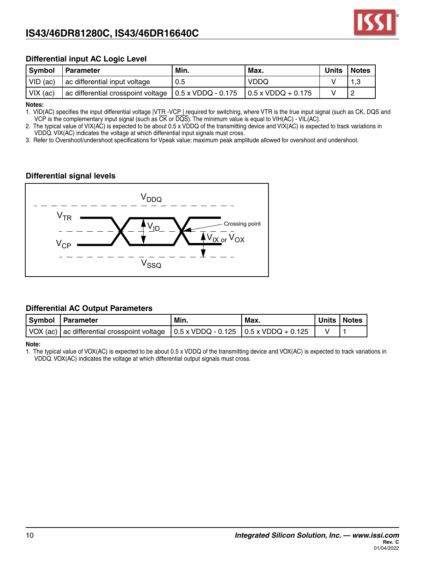

### **Differential input AC Logic Level**

| Symbol       | I Parameter                                                                                | ' Min. | ' Max.      | Units | Notes |
|--------------|--------------------------------------------------------------------------------------------|--------|-------------|-------|-------|
| $ $ VID (ac) | ac differential input voltage                                                              | 0.5    | <b>VDDQ</b> |       |       |
| $VIX$ (ac)   | ac differential crosspoint voltage $(0.5 \times VDDQ - 0.175)$ $(0.5 \times VDDQ + 0.175)$ |        |             |       |       |

**Notes:**

1. VID(AC) specifies the input differential voltage |VTR -VCP | required for switching, where VTR is the true input signal (such as CK, DQS and VCP is the complementary input signal (such as CK or DQS). The minimum value is equal to VIH(AC) - VIL(AC).

2. The typical value of VIX(AC) is expected to be about 0.5 x VDDQ of the transmitting device and VIX(AC) is expected to track variations in VDDQ. VIX(AC) indicates the voltage at which differential input signals must cross.

3. Refer to Overshoot/undershoot specifications for Vpeak value: maximum peak amplitude allowed for overshoot and undershoot.

### **Differential signal levels**



#### **Differential AC Output Parameters**

| Symbol   Parameter                                                                                                            | Min. | Max. | Units   Notes |  |
|-------------------------------------------------------------------------------------------------------------------------------|------|------|---------------|--|
| $\sqrt{6}$ VOX (ac) $\sqrt{6}$ ac differential crosspoint voltage $\sqrt{6}$ o.5 x VDDQ - 0.125 $\sqrt{6}$ o.5 x VDDQ + 0.125 |      |      |               |  |

**Note:**

1. The typical value of VOX(AC) is expected to be about 0.5 x VDDQ of the transmitting device and VOX(AC) is expected to track variations in VDDQ. VOX(AC) indicates the voltage at which differential output signals must cross.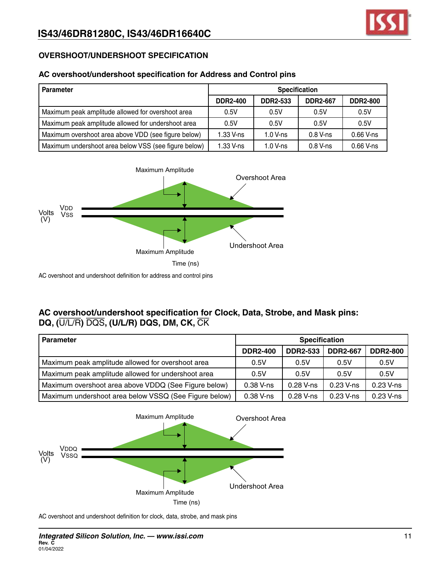### **OVERSHOOT/UNDERSHOOT SPECIFICATION**

### **AC overshoot/undershoot specification for Address and Control pins**

| l Parameter                                          | <b>Specification</b> |                 |                 |                 |  |  |
|------------------------------------------------------|----------------------|-----------------|-----------------|-----------------|--|--|
|                                                      | <b>DDR2-400</b>      | <b>DDR2-533</b> | <b>DDR2-667</b> | <b>DDR2-800</b> |  |  |
| Maximum peak amplitude allowed for overshoot area    | 0.5V                 | 0.5V            | 0.5V            | 0.5V            |  |  |
| Maximum peak amplitude allowed for undershoot area   | 0.5V                 | 0.5V            | 0.5V            | 0.5V            |  |  |
| Maximum overshoot area above VDD (see figure below)  | $1.33$ V-ns          | $1.0 V$ -ns     | $0.8$ V-ns      | $0.66$ V-ns     |  |  |
| Maximum undershoot area below VSS (see figure below) | 1.33 V-ns            | $1.0 V$ -ns     | $0.8$ V-ns      | $0.66$ V-ns     |  |  |



AC overshoot and undershoot definition for address and control pins

### **AC overshoot/undershoot specification for Clock, Data, Strobe, and Mask pins: DQ, (**U/L/R**)** DQS**, (U/L/R) DQS, DM, CK,** CK

| <b>Parameter</b>                                      | <b>Specification</b> |                 |                 |                 |  |  |
|-------------------------------------------------------|----------------------|-----------------|-----------------|-----------------|--|--|
|                                                       | <b>DDR2-400</b>      | <b>DDR2-533</b> | <b>DDR2-667</b> | <b>DDR2-800</b> |  |  |
| Maximum peak amplitude allowed for overshoot area     | 0.5V                 | 0.5V            | 0.5V            | 0.5V            |  |  |
| Maximum peak amplitude allowed for undershoot area    | 0.5V                 | 0.5V            | 0.5V            | 0.5V            |  |  |
| Maximum overshoot area above VDDQ (See Figure below)  | 0.38 V-ns            | $0.28$ V-ns     | $0.23$ V-ns     | 0.23 V-ns       |  |  |
| Maximum undershoot area below VSSQ (See Figure below) | 0.38 V-ns            | $0.28$ V-ns     | $0.23$ V-ns     | $0.23$ V-ns     |  |  |



AC overshoot and undershoot definition for clock, data, strobe, and mask pins

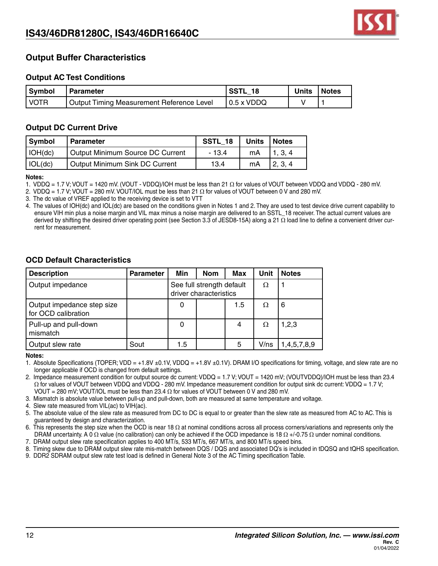

### **Output Buffer Characteristics**

### **Output AC Test Conditions**

| Symbol | <b>Parameter</b>                          | <b>SSTL 18</b>     | Units | Notes |
|--------|-------------------------------------------|--------------------|-------|-------|
| I VOTR | Output Timing Measurement Reference Level | $\vert$ 0.5 x VDDQ |       |       |

#### **Output DC Current Drive**

| <b>Symbol</b>   | <b>Parameter</b>                        | SSTL 18 | <b>Units</b> | <b>Notes</b> |
|-----------------|-----------------------------------------|---------|--------------|--------------|
| $\vert$ IOH(dc) | <b>Output Minimum Source DC Current</b> | - 134   | mA           | 1, 3, 4      |
| $\vert$ IOL(dc) | Output Minimum Sink DC Current          | 13.4    | mA           | 2.3.4        |

**Notes:**

1. VDDQ = 1.7 V; VOUT = 1420 mV. (VOUT - VDDQ)/IOH must be less than 21 Ω for values of VOUT between VDDQ and VDDQ - 280 mV.

2. VDDQ = 1.7 V; VOUT = 280 mV. VOUT/IOL must be less than 21  $\Omega$  for values of VOUT between 0 V and 280 mV.

3. The dc value of VREF applied to the receiving device is set to VTT

4. The values of IOH(dc) and IOL(dc) are based on the conditions given in Notes 1 and 2. They are used to test device drive current capability to ensure VIH min plus a noise margin and VIL max minus a noise margin are delivered to an SSTL\_18 receiver. The actual current values are derived by shifting the desired driver operating point (see Section 3.3 of JESD8-15A) along a 21 Ω load line to define a convenient driver current for measurement.

### **OCD Default Characteristics**

| <b>Description</b>                                | <b>Parameter</b> | Min                                                 | <b>Nom</b> | Max | Unit | <b>Notes</b> |
|---------------------------------------------------|------------------|-----------------------------------------------------|------------|-----|------|--------------|
| Output impedance                                  |                  | See full strength default<br>driver characteristics |            |     | Ω    |              |
| Output impedance step size<br>for OCD calibration |                  |                                                     |            | 1.5 | Ω    | 6            |
| Pull-up and pull-down<br>mismatch                 |                  |                                                     |            | 4   | Ω    | 1,2,3        |
| Output slew rate                                  | Sout             | 1.5                                                 |            | 5   | V/ns | 1,4,5,7,8,9  |

**Notes:**

1. Absolute Specifications (TOPER; VDD = +1.8V ±0.1V, VDDQ = +1.8V ±0.1V). DRAM I/O specifications for timing, voltage, and slew rate are no longer applicable if OCD is changed from default settings.

2. Impedance measurement condition for output source dc current: VDDQ = 1.7 V; VOUT = 1420 mV; (VOUTVDDQ)/IOH must be less than 23.4 Ω for values of VOUT between VDDQ and VDDQ - 280 mV. Impedance measurement condition for output sink dc current: VDDQ = 1.7 V; VOUT = 280 mV; VOUT/IOL must be less than 23.4  $\Omega$  for values of VOUT between 0 V and 280 mV.

3. Mismatch is absolute value between pull-up and pull-down, both are measured at same temperature and voltage.

4. Slew rate measured from VIL(ac) to VIH(ac).

5. The absolute value of the slew rate as measured from DC to DC is equal to or greater than the slew rate as measured from AC to AC. This is guaranteed by design and characterization.

6. This represents the step size when the OCD is near 18  $\Omega$  at nominal conditions across all process corners/variations and represents only the DRAM uncertainty. A 0 Ω value (no calibration) can only be achieved if the OCD impedance is 18 Ω +/-0.75 Ω under nominal conditions.

7. DRAM output slew rate specification applies to 400 MT/s, 533 MT/s, 667 MT/s, and 800 MT/s speed bins.

8. Timing skew due to DRAM output slew rate mis-match between DQS / DQS and associated DQ's is included in tDQSQ and tQHS specification.

9. DDR2 SDRAM output slew rate test load is defined in General Note 3 of the AC Timing specification Table.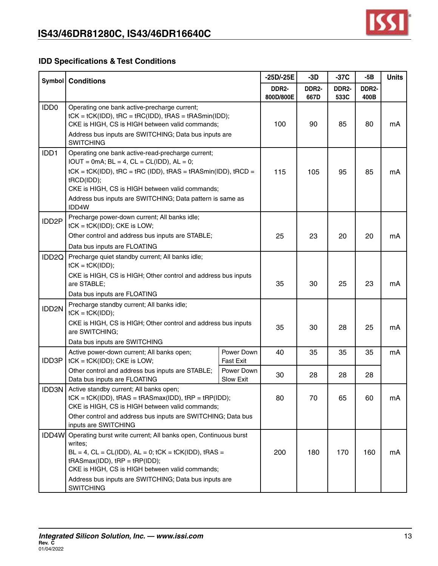

### **IDD Specifications & Test Conditions**

|                    | <b>Symbol</b> Conditions                                                                                                                                                                                                                                                                                                      |                                | -25D/-25E                       | $-3D$         | $-37C$        | $-5B$                | <b>Units</b> |
|--------------------|-------------------------------------------------------------------------------------------------------------------------------------------------------------------------------------------------------------------------------------------------------------------------------------------------------------------------------|--------------------------------|---------------------------------|---------------|---------------|----------------------|--------------|
|                    |                                                                                                                                                                                                                                                                                                                               |                                | DDR <sub>2</sub> -<br>800D/800E | DDR2-<br>667D | DDR2-<br>533C | <b>DDR2-</b><br>400B |              |
| IDD <sub>0</sub>   | Operating one bank active-precharge current;<br>$tCK = tCK(IDD)$ , $tRC = tRC(IDD)$ , $tRAS = tRASmin(IDD)$ ;<br>CKE is HIGH, CS is HIGH between valid commands;<br>Address bus inputs are SWITCHING; Data bus inputs are<br><b>SWITCHING</b>                                                                                 |                                | 100                             | 90            | 85            | 80                   | mA           |
| IDD1               | Operating one bank active-read-precharge current;<br>$IOUT = 0mA; BL = 4, CL = CL(ID), AL = 0;$<br>$tCK = tCK(IDD)$ , $tRC = tRC (IDD)$ , $tRAS = tRASmin(IDD)$ , $tRCD =$<br>tRCD(IDD);<br>CKE is HIGH, CS is HIGH between valid commands;<br>Address bus inputs are SWITCHING; Data pattern is same as<br>IDD4W             |                                | 115                             | 105           | 95            | 85                   | mA           |
| IDD <sub>2</sub> P | Precharge power-down current; All banks idle;<br>$tCK = tCK(IDD)$ ; CKE is LOW;<br>Other control and address bus inputs are STABLE;<br>Data bus inputs are FLOATING                                                                                                                                                           |                                | 25                              | 23            | 20            | 20                   | mA           |
| IDD <sub>2Q</sub>  | Precharge quiet standby current; All banks idle;<br>$tCK = tCK(IDD);$<br>CKE is HIGH, CS is HIGH; Other control and address bus inputs<br>are STABLE;                                                                                                                                                                         |                                | 35                              | 30            | 25            | 23                   | mA           |
| IDD2N              | Data bus inputs are FLOATING<br>Precharge standby current; All banks idle;<br>$tCK = tCK(IDD);$<br>CKE is HIGH, CS is HIGH; Other control and address bus inputs<br>are SWITCHING;<br>Data bus inputs are SWITCHING                                                                                                           |                                | 35                              | 30            | 28            | 25                   | mA           |
| IDD3P              | Active power-down current; All banks open;<br>$tCK = tCK(IDD)$ ; CKE is LOW;                                                                                                                                                                                                                                                  | Power Down<br><b>Fast Exit</b> | 40                              | 35            | 35            | 35                   | mA           |
|                    | Other control and address bus inputs are STABLE;<br>Data bus inputs are FLOATING                                                                                                                                                                                                                                              | Power Down<br><b>Slow Exit</b> | 30                              | 28            | 28            | 28                   |              |
|                    | <b>IDD3N</b> Active standby current; All banks open;<br>$tCK = tCK(IDD)$ , $tRAS = tRASmax(IDD)$ , $tRP = tRP(IDD)$ ;<br>CKE is HIGH, CS is HIGH between valid commands;<br>Other control and address bus inputs are SWITCHING; Data bus<br>inputs are SWITCHING                                                              |                                | 80                              | 70            | 65            | 60                   | mA           |
|                    | IDD4W Operating burst write current; All banks open, Continuous burst<br>writes;<br>$BL = 4$ , $CL = CL(IDD)$ , $AL = 0$ ; $tCK = tCK(IDD)$ , $tRAS =$<br>$tRASmax(IDD)$ , $tRP = tRP(IDD)$ ;<br>CKE is HIGH, CS is HIGH between valid commands;<br>Address bus inputs are SWITCHING; Data bus inputs are<br><b>SWITCHING</b> |                                | 200                             | 180           | 170           | 160                  | mA           |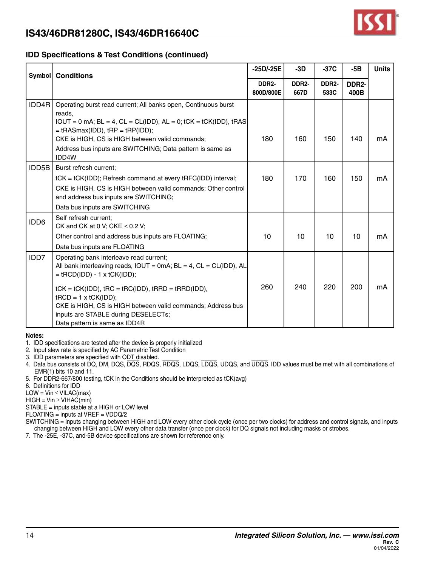

### **IDD Specifications & Test Conditions (continued)**

|       | $-25D/-25E$<br><b>Symbol</b> Conditions                                                                                                                                                                                                                                                                                                                                                     |                                 | $-3D$                      | $-37C$        | $-5B$         | <b>Units</b> |
|-------|---------------------------------------------------------------------------------------------------------------------------------------------------------------------------------------------------------------------------------------------------------------------------------------------------------------------------------------------------------------------------------------------|---------------------------------|----------------------------|---------------|---------------|--------------|
|       |                                                                                                                                                                                                                                                                                                                                                                                             | DDR <sub>2</sub> -<br>800D/800E | DDR <sub>2</sub> -<br>667D | DDR2-<br>533C | DDR2-<br>400B |              |
| IDD4R | Operating burst read current; All banks open, Continuous burst<br>reads,<br>$IOUT = 0$ mA; $BL = 4$ , $CL = CL(IDD)$ , $AL = 0$ ; $tCK = tCK(IDD)$ , $tRAS$<br>$=$ tRASmax(IDD), tRP = tRP(IDD);<br>CKE is HIGH, CS is HIGH between valid commands;<br>Address bus inputs are SWITCHING; Data pattern is same as<br>IDD4W                                                                   | 180                             | 160                        | 150           | 140           | mA           |
| IDD5B | Burst refresh current;<br>tCK = tCK(IDD); Refresh command at every tRFC(IDD) interval;<br>CKE is HIGH, CS is HIGH between valid commands; Other control<br>and address bus inputs are SWITCHING;<br>Data bus inputs are SWITCHING                                                                                                                                                           | 180                             | 170                        | 160           | 150           | mA           |
| IDD6  | Self refresh current:<br>CK and CK at 0 V; CKE $\leq$ 0.2 V;<br>Other control and address bus inputs are FLOATING;<br>Data bus inputs are FLOATING                                                                                                                                                                                                                                          | 10                              | 10                         | 10            | 10            | mA           |
| IDD7  | Operating bank interleave read current;<br>All bank interleaving reads, $IOUT = OmA$ ; $BL = 4$ , $CL = CL (IDD)$ , AL<br>$=$ tRCD(IDD) - 1 x tCK(IDD);<br>$tCK = tCK(IDD)$ , $tRC = tRC(IDD)$ , $tRRD = tRRD(IDD)$ ,<br>$tRCD = 1 \times tCK(IDD);$<br>CKE is HIGH, CS is HIGH between valid commands; Address bus<br>inputs are STABLE during DESELECTs;<br>Data pattern is same as IDD4R | 260                             | 240                        | 220           | 200           | mA           |

**Notes:**

1. IDD specifications are tested after the device is properly initialized

2. Input slew rate is specified by AC Parametric Test Condition

3. IDD parameters are specified with ODT disabled.

4. Data bus consists of DQ, DM, DQS, DQS, RDQS, RDQS, LDQS, LDQS, UDQS, and UDQS. IDD values must be met with all combinations of EMR(1) bits 10 and 11.

5. For DDR2-667/800 testing, tCK in the Conditions should be interpreted as tCK(avg)

6. Definitions for IDD

 $LOW = Vin \leq VILAC(max)$ 

 $HIGH = Vin \geq VIHAC(min)$ 

STABLE = inputs stable at a HIGH or LOW level

FLOATING = inputs at VREF = VDDQ/2

SWITCHING = inputs changing between HIGH and LOW every other clock cycle (once per two clocks) for address and control signals, and inputs changing between HIGH and LOW every other data transfer (once per clock) for DQ signals not including masks or strobes.

7. The -25E, -37C, and-5B device specifications are shown for reference only.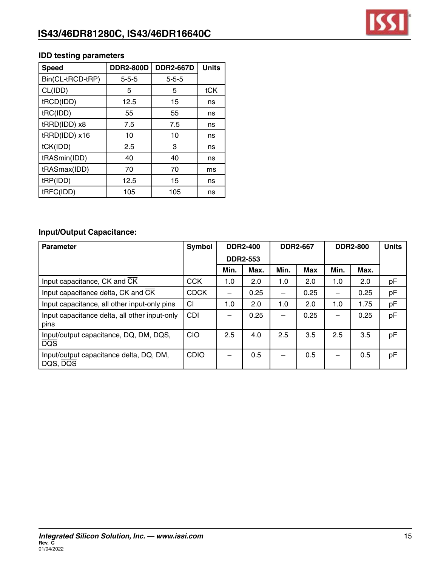

### **IDD testing parameters**

| <b>Speed</b>     | <b>DDR2-800D</b> | <b>DDR2-667D</b> | <b>Units</b> |
|------------------|------------------|------------------|--------------|
| Bin(CL-tRCD-tRP) | $5 - 5 - 5$      | $5 - 5 - 5$      |              |
| CL(IDD)          | 5                | 5                | tCK          |
| tRCD(IDD)        | 12.5             | 15               | ns           |
| tRC(IDD)         | 55               | 55               | ns           |
| tRRD(IDD) x8     | 7.5              | 7.5              | ns           |
| tRRD(IDD) x16    | 10               | 10               | ns           |
| tCK(IDD)         | 2.5              | 3                | ns           |
| tRASmin(IDD)     | 40               | 40               | ns           |
| tRASmax(IDD)     | 70               | 70               | ms           |
| tRP(IDD)         | 12.5             | 15               | ns           |
| tRFC(IDD)        | 105              | 105              | ns           |

### **Input/Output Capacitance:**

| <b>Parameter</b>                                           | Symbol      |      | <b>DDR2-400</b> |      | <b>DDR2-667</b> | <b>DDR2-800</b> | <b>Units</b> |    |
|------------------------------------------------------------|-------------|------|-----------------|------|-----------------|-----------------|--------------|----|
|                                                            |             |      | <b>DDR2-553</b> |      |                 |                 |              |    |
|                                                            |             | Min. | Max.            | Min. | <b>Max</b>      | Min.            | Max.         |    |
| Input capacitance, CK and CK                               | <b>CCK</b>  | 1.0  | 2.0             | 1.0  | 2.0             | 1.0             | 2.0          | pF |
| Input capacitance delta, CK and CK                         | <b>CDCK</b> |      | 0.25            | —    | 0.25            |                 | 0.25         | pF |
| Input capacitance, all other input-only pins               | CI          | 1.0  | 2.0             | 1.0  | 2.0             | 1.0             | 1.75         | pF |
| Input capacitance delta, all other input-only<br>pins      | CDI         |      | 0.25            |      | 0.25            |                 | 0.25         | pF |
| Input/output capacitance, DQ, DM, DQS,<br>$\overline{DQS}$ | <b>CIO</b>  | 2.5  | 4.0             | 2.5  | 3.5             | 2.5             | 3.5          | pF |
| Input/output capacitance delta, DQ, DM,<br>DQS, DQS        | <b>CDIO</b> |      | 0.5             |      | 0.5             |                 | 0.5          | pF |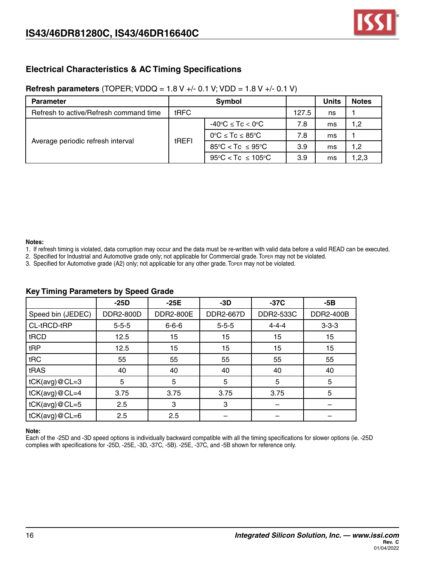

### **Electrical Characteristics & AC Timing Specifications**

### **Refresh parameters** (TOPER; VDDQ = 1.8 V +/- 0.1 V; VDD = 1.8 V +/- 0.1 V)

| <b>Parameter</b>                       |       | Symbol                                       |       | Units | <b>Notes</b> |
|----------------------------------------|-------|----------------------------------------------|-------|-------|--------------|
| Refresh to active/Refresh command time | tRFC  |                                              | 127.5 | ns    |              |
|                                        |       | $-40^{\circ}$ C $\leq$ Tc $<$ 0 $^{\circ}$ C | 7.8   | ms    | 1,2          |
|                                        | tREFI | $0^{\circ}C \leq Tc \leq 85^{\circ}C$        | 7.8   | ms    |              |
| Average periodic refresh interval      |       | $85^{\circ}$ C < Tc $\leq 95^{\circ}$ C      | 3.9   | ms    | 1,2          |
|                                        |       | $95^{\circ}$ C < Tc $\leq 105^{\circ}$ C     | 3.9   | ms    | 1,2,3        |

#### **Notes:**

- 1. If refresh timing is violated, data corruption may occur and the data must be re-written with valid data before a valid READ can be executed.
- 2. Specified for Industrial and Automotive grade only; not applicable for Commercial grade. Toper may not be violated.
- 3. Specified for Automotive grade (A2) only; not applicable for any other grade. Toper may not be violated.

|                        | $-25D$      | $-25E$           | $-3D$       | $-37C$      | -5B         |
|------------------------|-------------|------------------|-------------|-------------|-------------|
| Speed bin (JEDEC)      | DDR2-800D   | <b>DDR2-800E</b> | DDR2-667D   | DDR2-533C   | DDR2-400B   |
| CL-tRCD-tRP            | $5 - 5 - 5$ | $6 - 6 - 6$      | $5 - 5 - 5$ | $4 - 4 - 4$ | $3 - 3 - 3$ |
| tRCD                   | 12.5        | 15               | 15          | 15          | 15          |
| tRP                    | 12.5        | 15               | 15          | 15          | 15          |
| tRC                    | 55          | 55               | 55          | 55          | 55          |
| tRAS                   | 40          | 40               | 40          | 40          | 40          |
| tCK(avg)@CL=3          | 5           | 5                | 5           | 5           | 5           |
| $tCK(\text{avg})@CL=4$ | 3.75        | 3.75             | 3.75        | 3.75        | 5           |
| $tCK(\text{avg})@CL=5$ | 2.5         | 3                | 3           |             |             |
| $tCK(\text{avg})@CL=6$ | 2.5         | 2.5              |             |             |             |

#### **Key Timing Parameters by Speed Grade**

#### **Note:**

Each of the -25D and -3D speed options is individually backward compatible with all the timing specifications for slower options (ie. -25D complies with specifications for -25D, -25E, -3D, -37C, -5B). -25E, -37C, and -5B shown for reference only.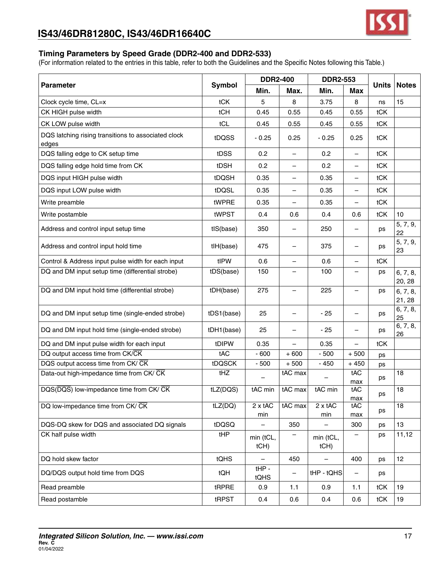

### **Timing Parameters by Speed Grade (DDR2-400 and DDR2-533)**

|                                                              |               | <b>DDR2-400</b>   |                          | <b>DDR2-553</b>          |                          |              |                    |
|--------------------------------------------------------------|---------------|-------------------|--------------------------|--------------------------|--------------------------|--------------|--------------------|
| <b>Parameter</b>                                             | <b>Symbol</b> | Min.              | Max.                     | Min.                     | Max                      | <b>Units</b> | <b>Notes</b>       |
| Clock cycle time, CL=x                                       | tCK           | 5                 | 8                        | 3.75                     | 8                        | ns           | 15                 |
| CK HIGH pulse width                                          | tCH           | 0.45              | 0.55                     | 0.45                     | 0.55                     | tCK          |                    |
| CK LOW pulse width                                           | tCL           | 0.45              | 0.55                     | 0.45                     | 0.55                     | tCK          |                    |
| DQS latching rising transitions to associated clock<br>edges | tDQSS         | $-0.25$           | 0.25                     | $-0.25$                  | 0.25                     | tCK          |                    |
| DQS falling edge to CK setup time                            | tDSS          | 0.2               |                          | 0.2                      | $\overline{\phantom{0}}$ | tCK          |                    |
| DQS falling edge hold time from CK                           | tDSH          | 0.2               |                          | 0.2                      |                          | tCK          |                    |
| DQS input HIGH pulse width                                   | tDQSH         | 0.35              |                          | 0.35                     | $\qquad \qquad -$        | tCK          |                    |
| DQS input LOW pulse width                                    | tDQSL         | 0.35              | $\qquad \qquad -$        | 0.35                     | $\qquad \qquad -$        | tCK          |                    |
| Write preamble                                               | tWPRE         | 0.35              | $\qquad \qquad -$        | 0.35                     | $\qquad \qquad -$        | tCK          |                    |
| Write postamble                                              | tWPST         | 0.4               | 0.6                      | 0.4                      | 0.6                      | tCK          | 10                 |
| Address and control input setup time                         | tIS(base)     | 350               |                          | 250                      | $\overline{\phantom{0}}$ | ps           | 5, 7, 9,<br>22     |
| Address and control input hold time                          | tlH(base)     | 475               |                          | 375                      |                          | ps           | 5, 7, 9,<br>23     |
| Control & Address input pulse width for each input           | tIPW          | 0.6               | —                        | 0.6                      | $\overline{\phantom{0}}$ | <b>tCK</b>   |                    |
| DQ and DM input setup time (differential strobe)             | tDS(base)     | 150               | —                        | 100                      | —                        | ps           | 6, 7, 8,<br>20, 28 |
| DQ and DM input hold time (differential strobe)              | tDH(base)     | 275               |                          | 225                      |                          | ps           | 6, 7, 8,<br>21, 28 |
| DQ and DM input setup time (single-ended strobe)             | tDS1(base)    | 25                |                          | $-25$                    |                          | ps           | 6, 7, 8,<br>25     |
| DQ and DM input hold time (single-ended strobe)              | tDH1(base)    | 25                |                          | $-25$                    |                          | ps           | 6, 7, 8,<br>26     |
| DQ and DM input pulse width for each input                   | tDIPW         | 0.35              | $\overline{\phantom{0}}$ | 0.35                     | $\overline{\phantom{0}}$ | <b>tCK</b>   |                    |
| DQ output access time from CK/CK                             | tAC           | $-600$            | $+600$                   | $-500$                   | $+500$                   | ps           |                    |
| DQS output access time from CK/ CK                           | tDQSCK        | $-500$            | $+500$                   | $-450$                   | $+450$                   | ps           |                    |
| Data-out high-impedance time from CK/ CK                     | tHZ           |                   | tAC max                  |                          | tAC<br>max               | ps           | 18                 |
| DQS(DQS) low-impedance time from CK/ CK                      | tLZ(DQS)      | tAC min           | $tAC$ max                | tAC min                  | tAC<br>max               | ps           | 18                 |
| DQ low-impedance time from CK/ CK                            | tLZ(DQ)       | 2 x tAC<br>min    | tAC max                  | 2 x tAC<br>min           | tAC<br>max               | ps           | 18                 |
| DQS-DQ skew for DQS and associated DQ signals                | tDQSQ         |                   | 350                      |                          | 300                      | ps           | 13                 |
| CK half pulse width                                          | tHP           | min (tCL,<br>tCH) |                          | min (tCL,<br>tCH)        |                          | ps           | 11,12              |
| DQ hold skew factor                                          | tQHS          |                   | 450                      | $\overline{\phantom{0}}$ | 400                      | ps           | 12                 |
| DQ/DQS output hold time from DQS                             | tQH           | $tHP -$<br>tQHS   | —                        | tHP - tQHS               | $\qquad \qquad -$        | ps           |                    |
| Read preamble                                                | tRPRE         | 0.9               | 1.1                      | 0.9                      | 1.1                      | tCK          | 19                 |
| Read postamble                                               | tRPST         | 0.4               | 0.6                      | 0.4                      | 0.6                      | tCK          | 19                 |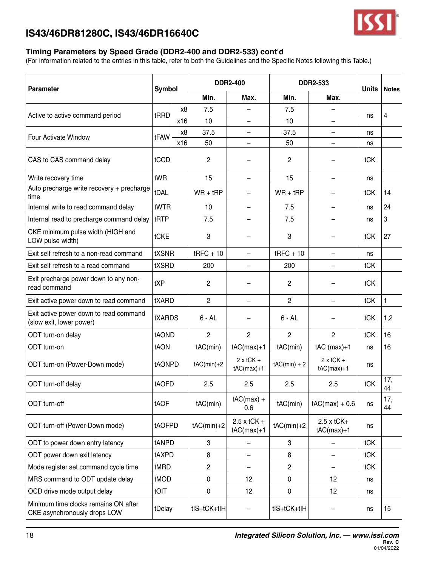

### **Timing Parameters by Speed Grade (DDR2-400 and DDR2-533) cont'd**

| <b>Parameter</b>                                                     | <b>Symbol</b> |     |                         | <b>DDR2-400</b>               |                | <b>DDR2-533</b>                   | <b>Units</b>   | <b>Notes</b>                     |    |  |
|----------------------------------------------------------------------|---------------|-----|-------------------------|-------------------------------|----------------|-----------------------------------|----------------|----------------------------------|----|--|
|                                                                      |               |     | Min.                    | Max.                          | Min.           | Max.                              |                |                                  |    |  |
| Active to active command period                                      | tRRD          | x8  | 7.5                     |                               | 7.5            | -                                 |                | 4                                |    |  |
|                                                                      |               | x16 | 10                      |                               | 10             |                                   | ns             |                                  |    |  |
| <b>Four Activate Window</b>                                          | tFAW          | x8  | 37.5                    | —                             | 37.5           | —                                 | ns             |                                  |    |  |
|                                                                      |               | x16 | 50                      |                               | 50             |                                   | ns             |                                  |    |  |
| CAS to CAS command delay                                             | tCCD          |     | 2                       |                               | $\overline{c}$ |                                   | tCK            |                                  |    |  |
| Write recovery time                                                  | tWR           |     | 15                      |                               | 15             | -                                 | ns             |                                  |    |  |
| Auto precharge write recovery + precharge<br>time                    | tDAL          |     | $WR + tRP$              |                               | $WR + tRP$     |                                   | tCK            | 14                               |    |  |
| Internal write to read command delay                                 | tWTR          |     | 10                      | $\qquad \qquad -$             | 7.5            | $\overline{\phantom{0}}$          | ns             | 24                               |    |  |
| Internal read to precharge command delay                             | tRTP          |     | 7.5                     |                               | 7.5            |                                   | ns             | 3                                |    |  |
| CKE minimum pulse width (HIGH and<br>LOW pulse width)                | tCKE          |     | 3                       |                               | 3              |                                   | tCK            | 27                               |    |  |
| Exit self refresh to a non-read command                              | <b>tXSNR</b>  |     | $t$ RFC + 10            |                               | $t$ RFC + 10   |                                   | ns             |                                  |    |  |
| Exit self refresh to a read command                                  | tXSRD         |     | 200                     | $\overline{\phantom{0}}$      | 200            | —                                 | tCK            |                                  |    |  |
| Exit precharge power down to any non-<br>read command                | tXP           |     | $\mathbf{2}$            |                               | 2              |                                   | tCK            |                                  |    |  |
| Exit active power down to read command                               | tXARD         |     | $\overline{2}$          |                               | $\overline{2}$ |                                   | tCK            | 1                                |    |  |
| Exit active power down to read command<br>(slow exit, lower power)   | <b>tXARDS</b> |     | $6 - AL$                |                               | $6 - AL$       |                                   | tCK            | 1,2                              |    |  |
| ODT turn-on delay                                                    | tAOND         |     | $\overline{2}$          | $\overline{2}$                | $\overline{2}$ | $\overline{2}$                    | tCK            | 16                               |    |  |
| ODT turn-on                                                          | <b>tAON</b>   |     | tAC(min)                | $tAC(max)+1$                  | tAC(min)       | $tAC$ (max)+1                     | ns             | 16                               |    |  |
| ODT turn-on (Power-Down mode)                                        | tAONPD        |     |                         |                               | $tAC(min)+2$   | $2 \times tCK +$<br>$tAC(max)+1$  | $tAC(min) + 2$ | $2 \times tCK +$<br>$tAC(max)+1$ | ns |  |
| ODT turn-off delay                                                   | tAOFD         |     | 2.5                     | 2.5                           | 2.5            | 2.5                               | tCK            | 17,<br>44                        |    |  |
| ODT turn-off                                                         | tAOF          |     | tAC(min)                | $tAC(max) +$<br>0.6           | tAC(min)       | $tAC(max) + 0.6$                  | ns             | 17,<br>44                        |    |  |
| ODT turn-off (Power-Down mode)                                       | tAOFPD        |     | $tAC(min)+2$            | $2.5$ x tCK +<br>$tAC(max)+1$ | $tAC(min)+2$   | $2.5 \times tCK+$<br>$tAC(max)+1$ | ns             |                                  |    |  |
| ODT to power down entry latency                                      | tANPD         |     | 3                       |                               | 3              |                                   | tCK            |                                  |    |  |
| ODT power down exit latency                                          | tAXPD         |     | 8                       |                               | 8              |                                   | tCK            |                                  |    |  |
| Mode register set command cycle time                                 | tMRD          |     | $\overline{\mathbf{c}}$ | $\overline{\phantom{0}}$      | 2              | -                                 | tCK            |                                  |    |  |
| MRS command to ODT update delay                                      | tMOD          |     | $\pmb{0}$               | 12                            | $\mathbf 0$    | 12 <sup>2</sup>                   | ns             |                                  |    |  |
| OCD drive mode output delay                                          | <b>tOIT</b>   |     | 0                       | 12                            | 0              | 12                                | ns             |                                  |    |  |
| Minimum time clocks remains ON after<br>CKE asynchronously drops LOW | tDelay        |     | tIS+tCK+tIH             |                               | tIS+tCK+tIH    |                                   | ns             | 15                               |    |  |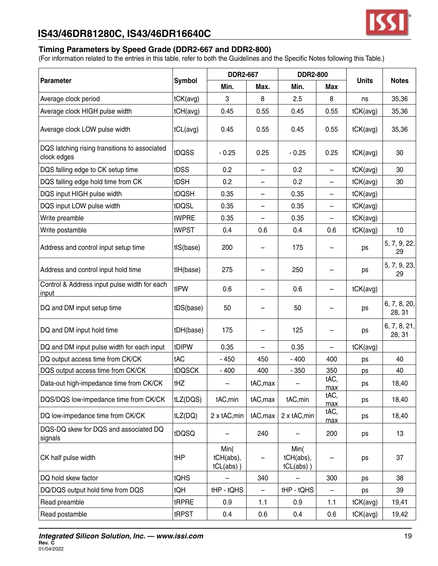

### **Timing Parameters by Speed Grade (DDR2-667 and DDR2-800)**

|                                                              |               | <b>DDR2-667</b>                   |                          | <b>DDR2-800</b>                   |                          |              |                        |
|--------------------------------------------------------------|---------------|-----------------------------------|--------------------------|-----------------------------------|--------------------------|--------------|------------------------|
| <b>Parameter</b>                                             | <b>Symbol</b> | Min.                              | Max.                     | Min.                              | Max                      | <b>Units</b> | <b>Notes</b>           |
| Average clock period                                         | tCK(avg)      | 3                                 | 8                        | 2.5                               | 8                        | ns           | 35,36                  |
| Average clock HIGH pulse width                               | tCH(avg)      | 0.45                              | 0.55                     | 0.45                              | 0.55                     | tCK(avg)     | 35,36                  |
| Average clock LOW pulse width                                | tCL(avg)      | 0.45                              | 0.55                     | 0.45                              | 0.55                     | tCK(avg)     | 35,36                  |
| DQS latching rising transitions to associated<br>clock edges | tDQSS         | $-0.25$                           | 0.25                     | $-0.25$                           | 0.25                     | tCK(avg)     | 30                     |
| DQS falling edge to CK setup time                            | tDSS          | 0.2                               | —                        | 0.2                               |                          | tCK(avg)     | 30                     |
| DQS falling edge hold time from CK                           | tDSH          | 0.2                               | $\qquad \qquad -$        | 0.2                               | $\overline{\phantom{0}}$ | tCK(avg)     | 30                     |
| DQS input HIGH pulse width                                   | tDQSH         | 0.35                              | $\qquad \qquad -$        | 0.35                              | -                        | tCK(avg)     |                        |
| DQS input LOW pulse width                                    | tDQSL         | 0.35                              | $\overline{\phantom{m}}$ | 0.35                              | $\overline{\phantom{0}}$ | tCK(avg)     |                        |
| Write preamble                                               | tWPRE         | 0.35                              |                          | 0.35                              | -                        | tCK(avg)     |                        |
| Write postamble                                              | tWPST         | 0.4                               | 0.6                      | 0.4                               | 0.6                      | tCK(avg)     | 10                     |
| Address and control input setup time                         | tIS(base)     | 200                               |                          | 175                               |                          | ps           | 5, 7, 9, 22,<br>29     |
| Address and control input hold time                          | tH(base)      | 275                               |                          | 250                               |                          | ps           | 5, 7, 9, 23,<br>29     |
| Control & Address input pulse width for each<br><u>input</u> | tIPW          | 0.6                               | —                        | 0.6                               | —                        | tCK(avg)     |                        |
| DQ and DM input setup time                                   | tDS(base)     | 50                                |                          | 50                                |                          | ps           | 6, 7, 8, 20,<br>28, 31 |
| DQ and DM input hold time                                    | tDH(base)     | 175                               |                          | 125                               |                          | ps           | 6, 7, 8, 21,<br>28, 31 |
| DQ and DM input pulse width for each input                   | tDIPW         | 0.35                              | $\overline{\phantom{0}}$ | 0.35                              | $\overline{\phantom{0}}$ | tCK(avg)     |                        |
| DQ output access time from CK/CK                             | tAC           | $-450$                            | 450                      | $-400$                            | 400                      | ps           | 40                     |
| DQS output access time from CK/CK                            | tDQSCK        | $-400$                            | 400                      | $-350$                            | 350                      | ps           | 40                     |
| Data-out high-impedance time from CK/CK                      | tHZ           | —                                 | tAC, max                 |                                   | tAC,<br>max              | ps           | 18,40                  |
| DQS/DQS low-impedance time from CK/CK                        | tLZ(DQS)      | tAC, min                          | tAC, max                 | tAC, min                          | tAC,<br>max              | ps           | 18,40                  |
| DQ low-impedance time from CK/CK                             | tLZ(DQ)       | 2 x tAC, min                      | tAC, max                 | 2 x tAC, min                      | tAC,<br>max              | ps           | 18,40                  |
| DQS-DQ skew for DQS and associated DQ<br>signals             | tDQSQ         |                                   | 240                      |                                   | 200                      | ps           | 13                     |
| CK half pulse width                                          | tHP           | Min(<br>tCH(abs),<br>$tCL(abs)$ ) |                          | Min(<br>tCH(abs),<br>$tCL(abs)$ ) |                          | ps           | 37                     |
| DQ hold skew factor                                          | <b>tQHS</b>   | $\overline{\phantom{0}}$          | 340                      | $\overline{\phantom{0}}$          | 300                      | ps           | 38                     |
| DQ/DQS output hold time from DQS                             | <b>IQH</b>    | tHP - tQHS                        | -                        | tHP - tQHS                        |                          | ps           | 39                     |
| Read preamble                                                | tRPRE         | 0.9                               | 1.1                      | 0.9                               | 1.1                      | tCK(avg)     | 19,41                  |
| Read postamble                                               | tRPST         | 0.4                               | 0.6                      | 0.4                               | 0.6                      | tCK(avg)     | 19,42                  |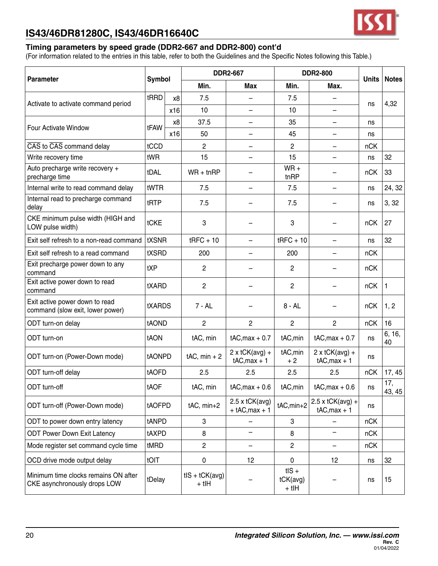

### **Timing parameters by speed grade (DDR2-667 and DDR2-800) cont'd**

| <b>Parameter</b>                                                     | <b>Symbol</b> |     |                                 | <b>DDR2-667</b>                            |                                          | <b>DDR2-800</b>                          | <b>Units</b> | <b>Notes</b>  |
|----------------------------------------------------------------------|---------------|-----|---------------------------------|--------------------------------------------|------------------------------------------|------------------------------------------|--------------|---------------|
|                                                                      |               |     | Min.                            | Max                                        | Min.                                     | Max.                                     |              |               |
| Activate to activate command period                                  | tRRD          | x8  | 7.5                             |                                            | 7.5                                      |                                          | ns           | 4,32          |
|                                                                      |               | x16 | 10                              |                                            | 10                                       |                                          |              |               |
| Four Activate Window                                                 | tFAW          | x8  | 37.5                            |                                            | 35                                       |                                          | ns           |               |
|                                                                      |               | x16 | 50                              | —                                          | 45                                       | $\overline{\phantom{0}}$                 | ns           |               |
| CAS to CAS command delay                                             | tCCD          |     | $\overline{c}$                  | -                                          | 2                                        | —                                        | nCK          |               |
| Write recovery time                                                  | tWR           |     | 15                              | —                                          | 15                                       |                                          | ns           | 32            |
| Auto precharge write recovery +<br>precharge time                    | tDAL          |     | $WR + t nRP$                    |                                            | $WR +$<br>tnRP                           |                                          | nCK          | 33            |
| Internal write to read command delay                                 | tWTR          |     | 7.5                             | -                                          | 7.5                                      | $\overline{\phantom{0}}$                 | ns           | 24, 32        |
| Internal read to precharge command<br>delay                          | tRTP          |     | 7.5                             |                                            | 7.5                                      |                                          | ns           | 3, 32         |
| CKE minimum pulse width (HIGH and<br>LOW pulse width)                | tCKE          |     | 3                               |                                            | 3                                        |                                          | nCK          | 27            |
| Exit self refresh to a non-read command                              | tXSNR         |     | $t$ RFC + 10                    | $\qquad \qquad -$                          | $t$ RFC + 10                             | $\overline{\phantom{0}}$                 | ns           | 32            |
| Exit self refresh to a read command                                  | tXSRD         |     | 200                             | $\overline{\phantom{0}}$                   | 200                                      |                                          | nCK          |               |
| Exit precharge power down to any<br>command                          | tXP           |     | $\overline{c}$                  |                                            | 2                                        |                                          | nCK          |               |
| Exit active power down to read<br>command                            | tXARD         |     | $\overline{c}$                  |                                            | 2                                        |                                          | nCK          | 1             |
| Exit active power down to read<br>command (slow exit, lower power)   | <b>tXARDS</b> |     | $7 - AL$                        |                                            | $8 - AL$                                 |                                          | nCK          | 1, 2          |
| ODT turn-on delay                                                    | tAOND         |     | 2                               | $\overline{2}$                             | $\overline{c}$                           | $\overline{2}$                           | nCK          | 16            |
| ODT turn-on                                                          | tAON          |     | tAC, min                        | $tAC, max + 0.7$                           | tAC, min                                 | $tAC, max + 0.7$                         | ns           | 6, 16,<br>40  |
| ODT turn-on (Power-Down mode)                                        | tAONPD        |     | $tAC$ , min + 2                 | 2 x tCK(avg) +<br>$tAC,max + 1$            | tAC, min<br>$+2$                         | 2 x tCK(avg) +<br>$tAC,max + 1$          | ns           |               |
| ODT turn-off delay                                                   | tAOFD         |     | 2.5                             | 2.5                                        | 2.5                                      | 2.5                                      | nCK          | 17, 45        |
| ODT turn-off                                                         | tAOF          |     | tAC, min                        | $tAC, max + 0.6$   $tAC, min$              |                                          | $tAC, max + 0.6$                         | ns           | 17,<br>43, 45 |
| ODT turn-off (Power-Down mode)                                       | tAOFPD        |     | tAC, min+2                      | $2.5 \times tCK$ (avg)<br>$+$ tAC, max + 1 | tAC, min+2                               | $2.5 \times tCK(avg) +$<br>$tAC,max + 1$ | ns           |               |
| ODT to power down entry latency                                      | tANPD         |     | 3                               |                                            | 3                                        |                                          | nCK          |               |
| <b>ODT Power Down Exit Latency</b>                                   | tAXPD         |     | 8                               | $\qquad \qquad -$                          | 8                                        | -                                        | nCK          |               |
| Mode register set command cycle time                                 | tMRD          |     | $\overline{2}$                  | $\qquad \qquad -$                          | 2                                        | $\qquad \qquad -$                        | nCK          |               |
| OCD drive mode output delay                                          | tOIT          |     | 0                               | 12                                         | 0                                        | 12                                       | ns           | 32            |
| Minimum time clocks remains ON after<br>CKE asynchronously drops LOW | tDelay        |     | $t$ IS + $t$ CK(avg)<br>$+$ tlH |                                            | $t$ IS +<br>$tCK(\text{avg})$<br>$+$ tlH |                                          | ns           | 15            |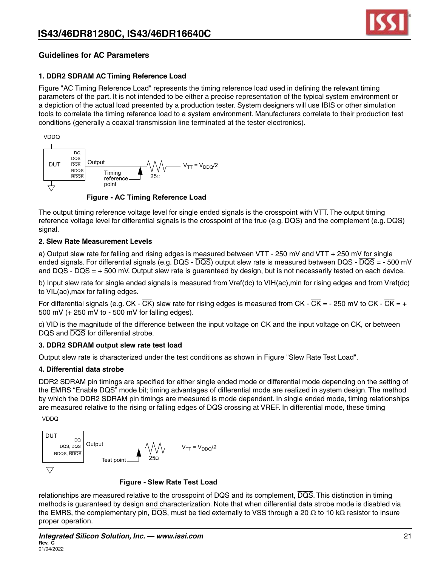

### **Guidelines for AC Parameters**

### **1. DDR2 SDRAM AC Timing Reference Load**

Figure "AC Timing Reference Load" represents the timing reference load used in defining the relevant timing parameters of the part. It is not intended to be either a precise representation of the typical system environment or a depiction of the actual load presented by a production tester. System designers will use IBIS or other simulation tools to correlate the timing reference load to a system environment. Manufacturers correlate to their production test conditions (generally a coaxial transmission line terminated at the tester electronics).



 **Figure - AC Timing Reference Load** 

The output timing reference voltage level for single ended signals is the crosspoint with VTT. The output timing reference voltage level for differential signals is the crosspoint of the true (e.g. DQS) and the complement (e.g. DQS) signal.

#### **2. Slew Rate Measurement Levels**

a) Output slew rate for falling and rising edges is measured between VTT - 250 mV and VTT + 250 mV for single ended signals. For differential signals (e.g. DQS -  $\overline{DQS}$ ) output slew rate is measured between DQS -  $\overline{DQS}$  = - 500 mV and DQS -  $\overline{DQS}$  = + 500 mV. Output slew rate is guaranteed by design, but is not necessarily tested on each device.

b) Input slew rate for single ended signals is measured from Vref(dc) to VIH(ac),min for rising edges and from Vref(dc) to VIL(ac),max for falling edges.

For differential signals (e.g. CK -  $\overline{CK}$ ) slew rate for rising edges is measured from CK -  $\overline{CK}$  - - 250 mV to CK -  $\overline{CK}$  = + 500 mV (+ 250 mV to - 500 mV for falling edges).

c) VID is the magnitude of the difference between the input voltage on CK and the input voltage on CK, or between DQS and  $\overline{DQS}$  for differential strobe.

#### **3. DDR2 SDRAM output slew rate test load**

Output slew rate is characterized under the test conditions as shown in Figure "Slew Rate Test Load".

#### **4. Differential data strobe**

DDR2 SDRAM pin timings are specified for either single ended mode or differential mode depending on the setting of the EMRS "Enable DQS" mode bit; timing advantages of differential mode are realized in system design. The method by which the DDR2 SDRAM pin timings are measured is mode dependent. In single ended mode, timing relationships are measured relative to the rising or falling edges of DQS crossing at VREF. In differential mode, these timing



 **Figure - Slew Rate Test Load**

relationships are measured relative to the crosspoint of DQS and its complement,  $\overline{DQS}$ . This distinction in timing methods is guaranteed by design and characterization. Note that when differential data strobe mode is disabled via the EMRS, the complementary pin,  $\overline{DQS}$ , must be tied externally to VSS through a 20  $\Omega$  to 10 k $\Omega$  resistor to insure proper operation.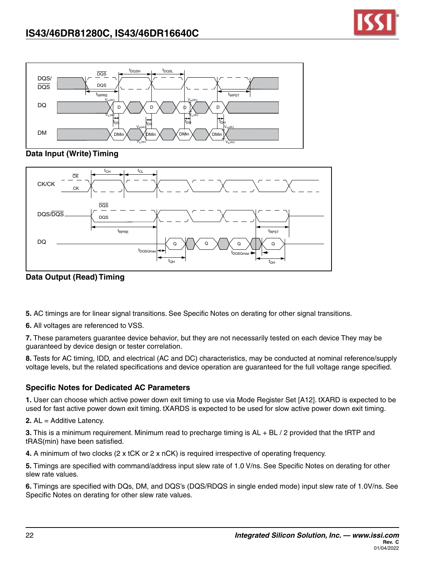



### **Data Input (Write) Timing**



**Data Output (Read) Timing**

**5.** AC timings are for linear signal transitions. See Specific Notes on derating for other signal transitions.

**6.** All voltages are referenced to VSS.

**7.** These parameters guarantee device behavior, but they are not necessarily tested on each device They may be guaranteed by device design or tester correlation.

**8.** Tests for AC timing, IDD, and electrical (AC and DC) characteristics, may be conducted at nominal reference/supply voltage levels, but the related specifications and device operation are guaranteed for the full voltage range specified.

### **Specific Notes for Dedicated AC Parameters**

**1.** User can choose which active power down exit timing to use via Mode Register Set [A12]. tXARD is expected to be used for fast active power down exit timing. tXARDS is expected to be used for slow active power down exit timing.

**2.** AL = Additive Latency.

**3.** This is a minimum requirement. Minimum read to precharge timing is AL + BL / 2 provided that the tRTP and tRAS(min) have been satisfied.

**4.** A minimum of two clocks (2 x tCK or 2 x nCK) is required irrespective of operating frequency.

**5.** Timings are specified with command/address input slew rate of 1.0 V/ns. See Specific Notes on derating for other slew rate values.

**6.** Timings are specified with DQs, DM, and DQS's (DQS/RDQS in single ended mode) input slew rate of 1.0V/ns. See Specific Notes on derating for other slew rate values.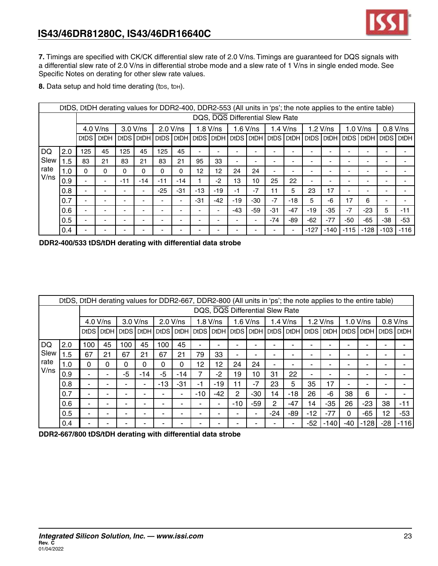**7.** Timings are specified with CK/CK differential slew rate of 2.0 V/ns. Timings are guaranteed for DQS signals with a differential slew rate of 2.0 V/ns in differential strobe mode and a slew rate of 1 V/ns in single ended mode. See Specific Notes on derating for other slew rate values.

8. Data setup and hold time derating (tDs, tDH).

|      |     |        | DtDS, DtDH derating values for DDR2-400, DDR2-553 (All units in 'ps'; the note applies to the entire table) |       |                          |                          |                          |                          |            |     |            |                                    |                          |                          |                          |        |                          |        |                      |
|------|-----|--------|-------------------------------------------------------------------------------------------------------------|-------|--------------------------|--------------------------|--------------------------|--------------------------|------------|-----|------------|------------------------------------|--------------------------|--------------------------|--------------------------|--------|--------------------------|--------|----------------------|
|      |     |        |                                                                                                             |       |                          |                          |                          |                          |            |     |            | DQS, DQS Differential Slew Rate    |                          |                          |                          |        |                          |        |                      |
|      |     |        | 4.0 V/ns                                                                                                    |       | 3.0 V/ns                 |                          | 2.0 V/ns                 |                          | $1.8$ V/ns |     | $1.6$ V/ns |                                    | $1.4$ V/ns               |                          | $1.2$ V/ns               |        | $1.0 V$ /ns              |        | $0.8$ V/ns           |
|      |     | DtDS I | <b>DtDH</b>                                                                                                 |       | DtDS DtDH                | DtDS DtDH                |                          |                          |            |     |            | DtDS DtDH DtDS DtDH DtDS DtDH DtDS |                          |                          | l DtDH l                 |        | DtDS DtDH                |        | <b>DtDS   DtDH  </b> |
| DQ   | 2.0 | 125    | 45                                                                                                          | 125   | 45                       | 125                      | 45                       | $\overline{\phantom{0}}$ |            |     |            |                                    | -                        | -                        | -                        |        |                          |        |                      |
| Slew | 1.5 | 83     | 21                                                                                                          | 83    | 21                       | 83                       | 21                       | 95                       | 33         |     |            |                                    |                          |                          |                          |        |                          |        |                      |
| rate | 1.0 | 0      | 0                                                                                                           | 0     | 0                        | 0                        | 0                        | 12                       | 12         | 24  | 24         |                                    | $\overline{\phantom{0}}$ | $\overline{\phantom{0}}$ |                          |        | $\overline{\phantom{a}}$ |        |                      |
| V/ns | 0.9 | ۰      |                                                                                                             | $-11$ | $-14$                    | $-11$                    | $-14$                    |                          | $-2$       | 13  | 10         | 25                                 | 22                       | $\overline{\phantom{0}}$ | $\overline{\phantom{0}}$ |        |                          |        |                      |
|      | 0.8 |        |                                                                                                             |       |                          | $-25$                    | $-31$                    | $-13$                    | -19        | -1  | $-7$       | 11                                 | 5                        | 23                       | 17                       |        | -                        |        |                      |
|      | 0.7 |        |                                                                                                             |       | $\overline{\phantom{0}}$ | $\overline{\phantom{0}}$ | $\overline{\phantom{0}}$ | $-31$                    | $-42$      | -19 | $-30$      | $-7$                               | $-18$                    | 5                        | -6                       | 17     | 6                        |        |                      |
|      | 0.6 |        |                                                                                                             |       |                          |                          | $\overline{\phantom{0}}$ |                          |            | -43 | $-59$      | -31                                | $-47$                    | $-19$                    | $-35$                    | $-7$   | -23                      | 5      | $-11$                |
|      | 0.5 | ۰      |                                                                                                             |       | $\overline{\phantom{0}}$ | $\overline{\phantom{0}}$ | $\overline{\phantom{0}}$ |                          |            |     |            | $-74$                              | -89                      | $-62$                    | $-77$                    | $-50$  | -65                      | -38    | -53                  |
|      | 0.4 |        |                                                                                                             |       |                          |                          |                          |                          |            |     |            |                                    | -                        | $-127$                   | $-140$                   | $-115$ | $-128$                   | $-103$ | $-116$               |



|      |     | DtDS, DtDH derating values for DDR2-667, DDR2-800 (All units in 'ps'; the note applies to the entire table)<br>DQS. DQS Differential Slew Rate |             |          |     |           |                          |                          |            |             |            |              |            |       |            |     |           |        |             |
|------|-----|------------------------------------------------------------------------------------------------------------------------------------------------|-------------|----------|-----|-----------|--------------------------|--------------------------|------------|-------------|------------|--------------|------------|-------|------------|-----|-----------|--------|-------------|
|      |     |                                                                                                                                                |             |          |     |           |                          |                          |            |             |            |              |            |       |            |     |           |        |             |
|      |     |                                                                                                                                                | 4.0 V/ns    | 3.0 V/ns |     | 2.0 V/ns  |                          |                          | $1.8$ V/ns |             | $1.6$ V/ns |              | $1.4$ V/ns |       | $1.2$ V/ns |     | 1.0 V/ns  |        | $0.8$ V/ns  |
|      |     | DtDS I                                                                                                                                         | <b>DtDH</b> | DtDS     |     | DtDH DtDS | <b>DtDH</b>              | DtDS I                   | DtDH       | DtDS   DtDH |            | DtDS DtDH    |            | DtDS  | DtDH       |     | DtDS DtDH | DtDS I | <b>DtDH</b> |
| DQ   | 2.0 | 100                                                                                                                                            | 45          | 100      | 45  | 100       | 45                       | $\overline{\phantom{0}}$ |            |             |            |              |            | -     |            |     |           |        |             |
| Slew | .5  | 67                                                                                                                                             | 21          | 67       | 21  | 67        | 21                       | 79                       | 33         | -           |            |              | -          | -     | -          |     |           |        |             |
| rate | 1.0 | 0                                                                                                                                              | 0           | 0        | 0   | $\Omega$  | 0                        | 12                       | 12         | 24          | 24         |              |            |       |            |     |           |        |             |
| V/ns | 0.9 | ۰                                                                                                                                              |             | -5       | -14 | -5        | $-14$                    | 7                        | $-2$       | 19          | 10         | 31           | 22         | ٠     |            |     |           |        |             |
|      | 0.8 | -                                                                                                                                              |             |          |     | $-13$     | $-31$                    | -1                       | $-19$      | 11          | $-7$       | 23           | 5          | 35    | 17         | ۰   |           |        |             |
|      | 0.7 |                                                                                                                                                |             | -        |     |           | $\blacksquare$           | $-10$                    | $-42$      | 2           | $-30$      | 14           | $-18$      | 26    | -6         | 38  | 6         |        |             |
|      | 0.6 | -                                                                                                                                              |             |          |     |           | -                        |                          |            | -10         | -59        | $\mathbf{2}$ | -47        | 14    | $-35$      | 26  | $-23$     | 38     | -11         |
|      | 0.5 | $\blacksquare$                                                                                                                                 |             | -        |     |           | $\overline{\phantom{0}}$ | ۰                        |            |             | -          | $-24$        | -89        | $-12$ | $-77$      | 0   | -65       | 12     | $-53$       |
|      | 0.4 |                                                                                                                                                |             |          |     |           |                          |                          |            |             |            |              |            | -52   | $-140$     | -40 | $-128$    | -28    | $-116$      |

**DDR2-667/800 tDS/tDH derating with differential data strobe**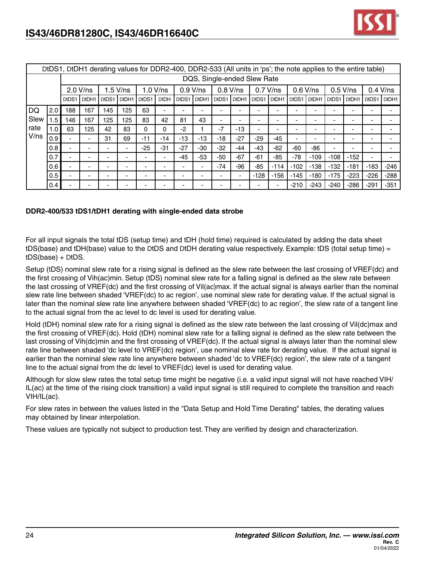

|      |              |       |             |                          |            | DtDS1, DtDH1 derating values for DDR2-400, DDR2-533 (All units in 'ps'; the note applies to the entire table) |             |       |                             |       |            |        |            |            |        |                |        |        |            |
|------|--------------|-------|-------------|--------------------------|------------|---------------------------------------------------------------------------------------------------------------|-------------|-------|-----------------------------|-------|------------|--------|------------|------------|--------|----------------|--------|--------|------------|
|      |              |       |             |                          |            |                                                                                                               |             |       | DQS, Single-ended Slew Rate |       |            |        |            |            |        |                |        |        |            |
|      |              |       | $2.0 V$ /ns |                          | $1.5$ V/ns |                                                                                                               | $1.0 V$ /ns |       | $0.9 V$ /ns                 |       | $0.8$ V/ns |        | $0.7$ V/ns | $0.6$ V/ns |        | $0.5$ V/ns     |        |        | $0.4$ V/ns |
|      |              | DtDS1 | DtDH1       | DtDS1                    | DtDH1      | DtDS1                                                                                                         | <b>DtDH</b> | DtDS1 | DtDH1                       | DtDS1 | DtDH1      | DtDS1  | DtDH1      | DtDS1      | DtDH1  | DtDS1          | DtDH1  | DtDS1  | DtDH1      |
| DQ   | 2.0          | 188   | 167         | 145                      | 125        | 63                                                                                                            |             |       |                             |       |            |        |            |            |        |                |        |        |            |
| Slew | $.5^{\circ}$ | 146   | 167         | 125                      | 125        | 83                                                                                                            | 42          | 81    | 43                          | ۰.    |            | -      |            |            |        |                |        |        |            |
| rate | 1.0          | 63    | 125         | 42                       | 83         | 0                                                                                                             | 0           | $-2$  |                             | $-7$  | $-13$      | ٠      |            |            |        |                |        |        |            |
| V/ns | 0.9          |       |             | 31                       | 69         | $-11$                                                                                                         | $-14$       | -13   | $-13$                       | $-18$ | $-27$      | $-29$  | $-45$      |            |        |                |        |        |            |
|      | 0.8          |       |             | $\overline{\phantom{0}}$ | ۰          | $-25$                                                                                                         | $-31$       | $-27$ | -30                         | $-32$ | $-44$      | -43    | $-62$      | $-60$      | -86    | $\blacksquare$ |        |        |            |
|      | 0.7          |       |             | $\overline{\phantom{0}}$ | ۰          | -                                                                                                             |             | $-45$ | $-53$                       | $-50$ | $-67$      | -61    | $-85$      | $-78$      | $-109$ | $-108$         | $-152$ | ٠      |            |
|      | 0.6          |       |             | $\overline{\phantom{0}}$ |            |                                                                                                               |             |       |                             | $-74$ | $-96$      | $-85$  | $-114$     | $-102$     | $-138$ | $-132$         | $-181$ | $-183$ | $-246$     |
|      | 0.5          |       |             | $\overline{\phantom{0}}$ | ۰          |                                                                                                               |             | -     |                             |       |            | $-128$ | $-156$     | $-145$     | $-180$ | $-175$         | $-223$ | $-226$ | $-288$     |
|      | 0.4          |       |             |                          |            |                                                                                                               |             |       |                             |       |            |        |            | $-210$     | $-243$ | $-240$         | $-286$ | -291   | $-351$     |

### **DDR2-400/533 tDS1/tDH1 derating with single-ended data strobe**

For all input signals the total tDS (setup time) and tDH (hold time) required is calculated by adding the data sheet tDS(base) and tDH(base) value to the DtDS and DtDH derating value respectively. Example: tDS (total setup time) = tDS(base) + DtDS.

Setup (tDS) nominal slew rate for a rising signal is defined as the slew rate between the last crossing of VREF(dc) and the first crossing of Vih(ac)min. Setup (tDS) nominal slew rate for a falling signal is defined as the slew rate between the last crossing of VREF(dc) and the first crossing of Vil(ac)max. If the actual signal is always earlier than the nominal slew rate line between shaded 'VREF(dc) to ac region', use nominal slew rate for derating value. If the actual signal is later than the nominal slew rate line anywhere between shaded 'VREF(dc) to ac region', the slew rate of a tangent line to the actual signal from the ac level to dc level is used for derating value.

Hold (tDH) nominal slew rate for a rising signal is defined as the slew rate between the last crossing of Vil(dc)max and the first crossing of VREF(dc). Hold (tDH) nominal slew rate for a falling signal is defined as the slew rate between the last crossing of Vih(dc)min and the first crossing of VREF(dc). If the actual signal is always later than the nominal slew rate line between shaded 'dc level to VREF(dc) region', use nominal slew rate for derating value. If the actual signal is earlier than the nominal slew rate line anywhere between shaded 'dc to VREF(dc) region', the slew rate of a tangent line to the actual signal from the dc level to VREF(dc) level is used for derating value.

Although for slow slew rates the total setup time might be negative (i.e. a valid input signal will not have reached VIH/ IL(ac) at the time of the rising clock transition) a valid input signal is still required to complete the transition and reach VIH/IL(ac).

For slew rates in between the values listed in the "Data Setup and Hold Time Derating" tables, the derating values may obtained by linear interpolation.

These values are typically not subject to production test. They are verified by design and characterization.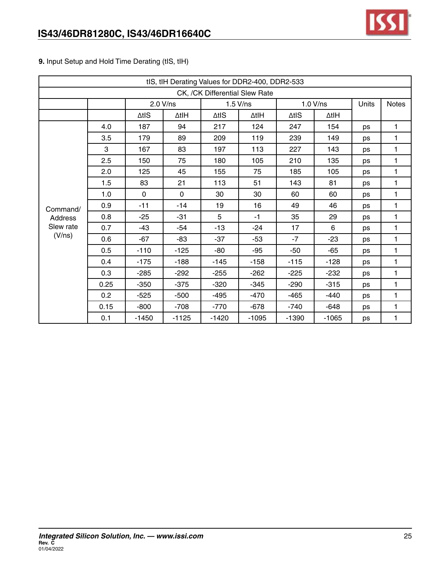

|  |  | 9. Input Setup and Hold Time Derating (tIS, tIH) |  |
|--|--|--------------------------------------------------|--|
|  |  |                                                  |  |

|           |      |               | tIS, tIH Derating Values for DDR2-400, DDR2-533 |                                |               |         |          |       |              |
|-----------|------|---------------|-------------------------------------------------|--------------------------------|---------------|---------|----------|-------|--------------|
|           |      |               |                                                 | CK, /CK Differential Slew Rate |               |         |          |       |              |
|           |      |               | 2.0 V/ns                                        |                                | $1.5$ V/ns    |         | 1.0 V/ns | Units | <b>Notes</b> |
|           |      | $\Delta t$ IS | ∆tIH                                            | $\Delta t$ IS                  | $\Delta t$ IH | ∆tIS    | ∆tIH     |       |              |
|           | 4.0  | 187           | 94                                              | 217                            | 124           | 247     | 154      | ps    | 1            |
|           | 3.5  | 179           | 89                                              | 209                            | 119           | 239     | 149      | ps    | 1            |
|           | 3    | 167           | 83                                              | 197                            | 113           | 227     | 143      | ps    | 1            |
|           | 2.5  | 150           | 75                                              | 180                            | 105           | 210     | 135      | ps    | 1            |
|           | 2.0  | 125           | 45                                              | 155                            | 75            | 185     | 105      | ps    | 1            |
|           | 1.5  | 83            | 21                                              | 113                            | 51            | 143     | 81       | ps    | 1            |
|           | 1.0  | $\mathbf 0$   | $\mathbf 0$                                     | 30                             | 30            | 60      | 60       | ps    | 1            |
| Command/  | 0.9  | -11           | $-14$                                           | 19                             | 16            | 49      | 46       | ps    | 1            |
| Address   | 0.8  | $-25$         | $-31$                                           | 5                              | $-1$          | 35      | 29       | ps    | 1            |
| Slew rate | 0.7  | -43           | $-54$                                           | $-13$                          | $-24$         | 17      | 6        | ps    | 1            |
| (V/ns)    | 0.6  | $-67$         | $-83$                                           | $-37$                          | $-53$         | $-7$    | $-23$    | ps    | 1            |
|           | 0.5  | $-110$        | $-125$                                          | -80                            | $-95$         | $-50$   | $-65$    | ps    | 1            |
|           | 0.4  | $-175$        | $-188$                                          | $-145$                         | $-158$        | $-115$  | $-128$   | ps    | $\mathbf{1}$ |
|           | 0.3  | $-285$        | $-292$                                          | $-255$                         | $-262$        | $-225$  | $-232$   | ps    | 1            |
|           | 0.25 | $-350$        | $-375$                                          | $-320$                         | $-345$        | $-290$  | $-315$   | ps    | 1            |
|           | 0.2  | $-525$        | $-500$                                          | $-495$                         | $-470$        | $-465$  | $-440$   | ps    | 1            |
|           | 0.15 | $-800$        | $-708$                                          | $-770$                         | $-678$        | $-740$  | $-648$   | ps    | 1            |
|           | 0.1  | $-1450$       | $-1125$                                         | $-1420$                        | $-1095$       | $-1390$ | $-1065$  | ps    | 1            |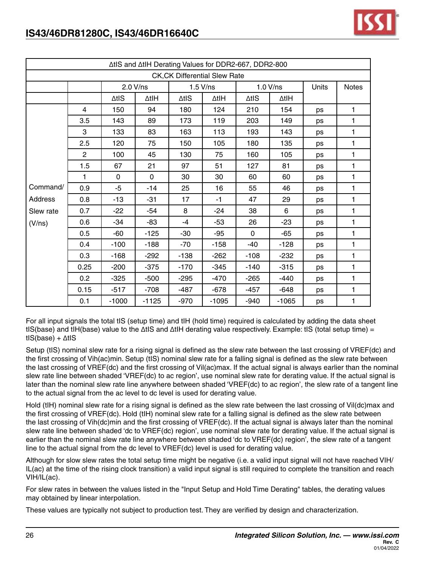

|           |                |             | ∆tIS and ∆tIH Derating Values for DDR2-667, DDR2-800 |               |                                      |               |          |       |              |
|-----------|----------------|-------------|------------------------------------------------------|---------------|--------------------------------------|---------------|----------|-------|--------------|
|           |                |             |                                                      |               | <b>CK, CK Differential Slew Rate</b> |               |          |       |              |
|           |                |             | 2.0 V/ns                                             |               | $1.5$ V/ns                           |               | 1.0 V/ns | Units | <b>Notes</b> |
|           |                | ∆tis        | ∆tIH                                                 | $\Delta t$ IS | ∆tIH                                 | $\Delta t$ IS | ∆tlH     |       |              |
|           | $\overline{4}$ | 150         | 94                                                   | 180           | 124                                  | 210           | 154      | ps    | 1            |
|           | 3.5            | 143         | 89                                                   | 173           | 119                                  | 203           | 149      | ps    | 1            |
|           | 3              | 133         | 83                                                   | 163           | 113                                  | 193           | 143      | ps    | 1            |
|           | 2.5            | 120         | 75                                                   | 150           | 105                                  | 180           | 135      | ps    | 1            |
|           | $\overline{2}$ | 100         | 45                                                   | 130           | 75                                   | 160           | 105      | ps    | 1            |
|           | 1.5            | 67          | 21                                                   | 97            | 51                                   | 127           | 81       | ps    | 1            |
|           | 1              | $\mathbf 0$ | $\mathbf 0$                                          | 30            | 30                                   | 60            | 60       | ps    | 1            |
| Command/  | 0.9            | -5          | $-14$                                                | 25            | 16                                   | 55            | 46       | ps    | 1            |
| Address   | 0.8            | $-13$       | $-31$                                                | 17            | $-1$                                 | 47            | 29       | ps    | 1            |
| Slew rate | 0.7            | $-22$       | $-54$                                                | 8             | $-24$                                | 38            | 6        | ps    | 1            |
| (V/ns)    | 0.6            | $-34$       | $-83$                                                | $-4$          | $-53$                                | 26            | $-23$    | ps    | 1            |
|           | 0.5            | $-60$       | $-125$                                               | $-30$         | $-95$                                | $\Omega$      | $-65$    | ps    | 1            |
|           | 0.4            | $-100$      | $-188$                                               | -70           | $-158$                               | -40           | $-128$   | ps    | 1            |
|           | 0.3            | $-168$      | $-292$                                               | $-138$        | $-262$                               | $-108$        | $-232$   | ps    | 1            |
|           | 0.25           | $-200$      | $-375$                                               | $-170$        | $-345$                               | $-140$        | $-315$   | ps    | 1            |
|           | 0.2            | $-325$      | $-500$                                               | $-295$        | $-470$                               | $-265$        | $-440$   | ps    | 1            |
|           | 0.15           | $-517$      | $-708$                                               | $-487$        | $-678$                               | $-457$        | $-648$   | ps    | 1            |
|           | 0.1            | $-1000$     | $-1125$                                              | $-970$        | $-1095$                              | $-940$        | $-1065$  | ps    | 1            |

For all input signals the total tIS (setup time) and tIH (hold time) required is calculated by adding the data sheet tIS(base) and tIH(base) value to the ∆tIS and ∆tIH derating value respectively. Example: tIS (total setup time) = tIS(base) + ∆tIS

Setup (tIS) nominal slew rate for a rising signal is defined as the slew rate between the last crossing of VREF(dc) and the first crossing of Vih(ac)min. Setup (tIS) nominal slew rate for a falling signal is defined as the slew rate between the last crossing of VREF(dc) and the first crossing of Vil(ac)max. If the actual signal is always earlier than the nominal slew rate line between shaded 'VREF(dc) to ac region', use nominal slew rate for derating value. If the actual signal is later than the nominal slew rate line anywhere between shaded 'VREF(dc) to ac region', the slew rate of a tangent line to the actual signal from the ac level to dc level is used for derating value.

Hold (tIH) nominal slew rate for a rising signal is defined as the slew rate between the last crossing of Vil(dc)max and the first crossing of VREF(dc). Hold (tIH) nominal slew rate for a falling signal is defined as the slew rate between the last crossing of Vih(dc)min and the first crossing of VREF(dc). If the actual signal is always later than the nominal slew rate line between shaded 'dc to VREF(dc) region', use nominal slew rate for derating value. If the actual signal is earlier than the nominal slew rate line anywhere between shaded 'dc to VREF(dc) region', the slew rate of a tangent line to the actual signal from the dc level to VREF(dc) level is used for derating value.

Although for slow slew rates the total setup time might be negative (i.e. a valid input signal will not have reached VIH/ IL(ac) at the time of the rising clock transition) a valid input signal is still required to complete the transition and reach VIH/IL(ac).

For slew rates in between the values listed in the "Input Setup and Hold Time Derating" tables, the derating values may obtained by linear interpolation.

These values are typically not subject to production test. They are verified by design and characterization.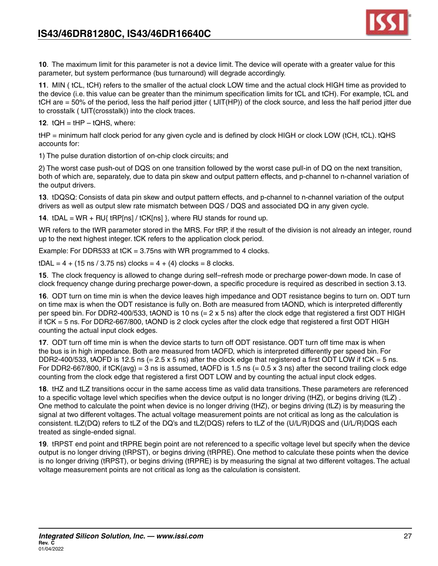

**10**. The maximum limit for this parameter is not a device limit. The device will operate with a greater value for this parameter, but system performance (bus turnaround) will degrade accordingly.

**11**. MIN ( tCL, tCH) refers to the smaller of the actual clock LOW time and the actual clock HIGH time as provided to the device (i.e. this value can be greater than the minimum specification limits for tCL and tCH). For example, tCL and tCH are = 50% of the period, less the half period jitter ( tJIT(HP)) of the clock source, and less the half period jitter due to crosstalk ( tJIT(crosstalk)) into the clock traces.

**12.**  $tQH = tHP - tQHS$ , where:

tHP = minimum half clock period for any given cycle and is defined by clock HIGH or clock LOW (tCH, tCL). tQHS accounts for:

1) The pulse duration distortion of on-chip clock circuits; and

2) The worst case push-out of DQS on one transition followed by the worst case pull-in of DQ on the next transition, both of which are, separately, due to data pin skew and output pattern effects, and p-channel to n-channel variation of the output drivers.

**13**. tDQSQ: Consists of data pin skew and output pattern effects, and p-channel to n-channel variation of the output drivers as well as output slew rate mismatch between DQS / DQS and associated DQ in any given cycle.

**14.**  $tDAL = WR + RU{ tRP[ns] / tCK[ns] }$ , where RU stands for round up.

WR refers to the tWR parameter stored in the MRS. For tRP, if the result of the division is not already an integer, round up to the next highest integer. tCK refers to the application clock period.

Example: For DDR533 at tCK = 3.75ns with WR programmed to 4 clocks.

 $tDAL = 4 + (15 \text{ ns} / 3.75 \text{ ns})$  clocks =  $4 + (4)$  clocks = 8 clocks.

**15**. The clock frequency is allowed to change during self–refresh mode or precharge power-down mode. In case of clock frequency change during precharge power-down, a specific procedure is required as described in section 3.13.

**16**. ODT turn on time min is when the device leaves high impedance and ODT resistance begins to turn on. ODT turn on time max is when the ODT resistance is fully on. Both are measured from tAOND, which is interpreted differently per speed bin. For DDR2-400/533, tAOND is 10 ns (= 2 x 5 ns) after the clock edge that registered a first ODT HIGH if tCK = 5 ns. For DDR2-667/800, tAOND is 2 clock cycles after the clock edge that registered a first ODT HIGH counting the actual input clock edges.

**17**. ODT turn off time min is when the device starts to turn off ODT resistance. ODT turn off time max is when the bus is in high impedance. Both are measured from tAOFD, which is interpreted differently per speed bin. For DDR2-400/533, tAOFD is 12.5 ns (= 2.5 x 5 ns) after the clock edge that registered a first ODT LOW if tCK = 5 ns. For DDR2-667/800, if tCK(avg) = 3 ns is assumed, tAOFD is 1.5 ns (=  $0.5 \times 3$  ns) after the second trailing clock edge counting from the clock edge that registered a first ODT LOW and by counting the actual input clock edges.

**18**. tHZ and tLZ transitions occur in the same access time as valid data transitions. These parameters are referenced to a specific voltage level which specifies when the device output is no longer driving (tHZ), or begins driving (tLZ) . One method to calculate the point when device is no longer driving (tHZ), or begins driving (tLZ) is by measuring the signal at two different voltages. The actual voltage measurement points are not critical as long as the calculation is consistent. tLZ(DQ) refers to tLZ of the DQ's and tLZ(DQS) refers to tLZ of the (U/L/R)DQS and (U/L/R)DQS each treated as single-ended signal.

**19**. tRPST end point and tRPRE begin point are not referenced to a specific voltage level but specify when the device output is no longer driving (tRPST), or begins driving (tRPRE). One method to calculate these points when the device is no longer driving (tRPST), or begins driving (tRPRE) is by measuring the signal at two different voltages. The actual voltage measurement points are not critical as long as the calculation is consistent.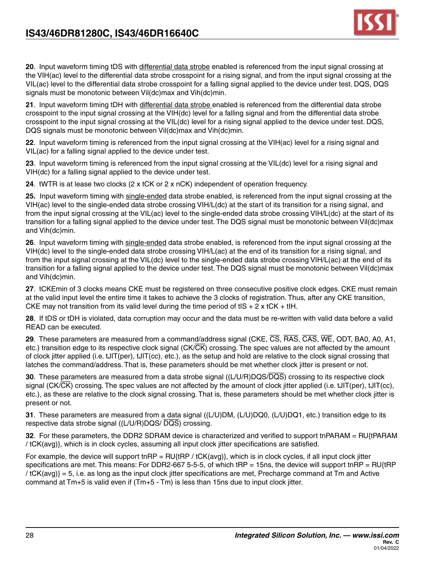

**20**. Input waveform timing tDS with differential data strobe enabled is referenced from the input signal crossing at the VIH(ac) level to the differential data strobe crosspoint for a rising signal, and from the input signal crossing at the VIL(ac) level to the differential data strobe crosspoint for a falling signal applied to the device under test. DQS, DQS signals must be monotonic between Vil(dc)max and Vih(dc)min.

**21**. Input waveform timing tDH with differential data strobe enabled is referenced from the differential data strobe crosspoint to the input signal crossing at the VIH(dc) level for a falling signal and from the differential data strobe crosspoint to the input signal crossing at the VIL(dc) level for a rising signal applied to the device under test. DQS, DQS signals must be monotonic between Vil(dc)max and Vih(dc)min.

**22**. Input waveform timing is referenced from the input signal crossing at the VIH(ac) level for a rising signal and VIL(ac) for a falling signal applied to the device under test.

**23**. Input waveform timing is referenced from the input signal crossing at the VIL(dc) level for a rising signal and VIH(dc) for a falling signal applied to the device under test.

**24**. tWTR is at lease two clocks (2 x tCK or 2 x nCK) independent of operation frequency.

**25.** Input waveform timing with single-ended data strobe enabled, is referenced from the input signal crossing at the VIH(ac) level to the single-ended data strobe crossing VIH/L(dc) at the start of its transition for a rising signal, and from the input signal crossing at the VIL(ac) level to the single-ended data strobe crossing VIH/L(dc) at the start of its transition for a falling signal applied to the device under test. The DQS signal must be monotonic between Vil(dc)max and Vih(dc)min.

**26**. Input waveform timing with single-ended data strobe enabled, is referenced from the input signal crossing at the VIH(dc) level to the single-ended data strobe crossing VIH/L(ac) at the end of its transition for a rising signal, and from the input signal crossing at the VIL(dc) level to the single-ended data strobe crossing VIH/L(ac) at the end of its transition for a falling signal applied to the device under test. The DQS signal must be monotonic between Vil(dc)max and Vih(dc)min.

**27**. tCKEmin of 3 clocks means CKE must be registered on three consecutive positive clock edges. CKE must remain at the valid input level the entire time it takes to achieve the 3 clocks of registration. Thus, after any CKE transition, CKE may not transition from its valid level during the time period of tIS + 2 x tCK + tIH.

**28**. If tDS or tDH is violated, data corruption may occur and the data must be re-written with valid data before a valid READ can be executed.

**29**. These parameters are measured from a command/address signal (CKE, CS, RAS, CAS, WE, ODT, BA0, A0, A1, etc.) transition edge to its respective clock signal  $(CK/\overline{CK})$  crossing. The spec values are not affected by the amount of clock jitter applied (i.e. tJIT(per), tJIT(cc), etc.), as the setup and hold are relative to the clock signal crossing that latches the command/address. That is, these parameters should be met whether clock jitter is present or not.

**30**. These parameters are measured from a data strobe signal ((L/U/R)DQS/DQS) crossing to its respective clock signal (CK/ $\overline{CK}$ ) crossing. The spec values are not affected by the amount of clock jitter applied (i.e. tJIT(per), tJIT(cc), etc.), as these are relative to the clock signal crossing. That is, these parameters should be met whether clock jitter is present or not.

**31**. These parameters are measured from a data signal ((L/U)DM, (L/U)DQ0, (L/U)DQ1, etc.) transition edge to its respective data strobe signal ((L/U/R)DQS/ DQS) crossing.

**32**. For these parameters, the DDR2 SDRAM device is characterized and verified to support tnPARAM = RU{tPARAM / tCK(avg)}, which is in clock cycles, assuming all input clock jitter specifications are satisfied.

For example, the device will support tnRP =  $RU$ {tRP / tCK(avg)}, which is in clock cycles, if all input clock jitter specifications are met. This means: For DDR2-667 5-5-5, of which tRP = 15ns, the device will support tnRP =  $RU{tRP}$ / tCK(avg)} = 5, i.e. as long as the input clock jitter specifications are met, Precharge command at Tm and Active command at Tm+5 is valid even if (Tm+5 - Tm) is less than 15ns due to input clock jitter.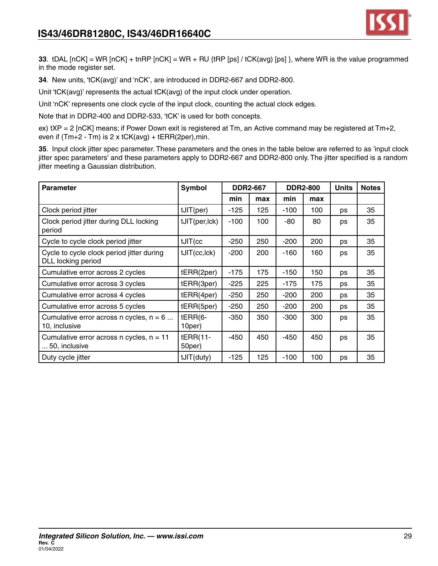

**33**. tDAL [nCK] = WR [nCK] + tnRP [nCK] = WR + RU {tRP [ps] / tCK(avg) [ps] }, where WR is the value programmed in the mode register set.

**34**. New units, 'tCK(avg)' and 'nCK', are introduced in DDR2-667 and DDR2-800.

Unit 'tCK(avg)' represents the actual tCK(avg) of the input clock under operation.

Unit 'nCK' represents one clock cycle of the input clock, counting the actual clock edges.

Note that in DDR2-400 and DDR2-533, 'tCK' is used for both concepts.

ex) tXP = 2 [nCK] means; if Power Down exit is registered at Tm, an Active command may be registered at Tm+2, even if  $(Tm+2 - Tm)$  is  $2 \times tCK(avg) + tERR(2per), min$ .

**35**. Input clock jitter spec parameter. These parameters and the ones in the table below are referred to as 'input clock jitter spec parameters' and these parameters apply to DDR2-667 and DDR2-800 only. The jitter specified is a random jitter meeting a Gaussian distribution.

| <b>Parameter</b>                                                | <b>Symbol</b>        |        | <b>DDR2-667</b> |        | <b>DDR2-800</b> | <b>Units</b> | <b>Notes</b> |
|-----------------------------------------------------------------|----------------------|--------|-----------------|--------|-----------------|--------------|--------------|
|                                                                 |                      | min    | max             | min    | max             |              |              |
| Clock period jitter                                             | tJIT(per)            | -125   | 125             | $-100$ | 100             | ps           | 35           |
| Clock period jitter during DLL locking<br>period                | tJIT(per, lck)       | $-100$ | 100             | -80    | 80              | ps           | 35           |
| Cycle to cycle clock period jitter                              | $t$ JIT $(cc$        | $-250$ | 250             | $-200$ | 200             | ps           | 35           |
| Cycle to cycle clock period jitter during<br>DLL locking period | tJIT(cc, lck)        | $-200$ | 200             | -160   | 160             | ps           | 35           |
| Cumulative error across 2 cycles                                | tERR(2per)           | $-175$ | 175             | $-150$ | 150             | ps           | 35           |
| Cumulative error across 3 cycles                                | tERR(3per)           | $-225$ | 225             | $-175$ | 175             | ps           | 35           |
| Cumulative error across 4 cycles                                | tERR(4per)           | $-250$ | 250             | $-200$ | 200             | ps           | 35           |
| Cumulative error across 5 cycles                                | tERR(5per)           | $-250$ | 250             | $-200$ | 200             | ps           | 35           |
| Cumulative error across n cycles, $n = 6$<br>10, inclusive      | $tERR(6-$<br>10per)  | $-350$ | 350             | $-300$ | 300             | ps           | 35           |
| Cumulative error across n cycles, $n = 11$<br>50, inclusive     | $tERR(11-$<br>50per) | -450   | 450             | $-450$ | 450             | ps           | 35           |
| Duty cycle jitter                                               | tJIT(duty)           | $-125$ | 125             | $-100$ | 100             | ps           | 35           |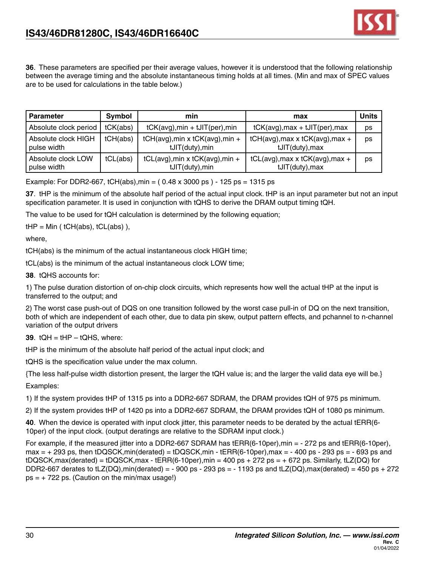

**36**. These parameters are specified per their average values, however it is understood that the following relationship between the average timing and the absolute instantaneous timing holds at all times. (Min and max of SPEC values are to be used for calculations in the table below.)

| <b>Parameter</b>                   | Symbol   | min                                                | max                                                      | Units |
|------------------------------------|----------|----------------------------------------------------|----------------------------------------------------------|-------|
| Absolute clock period              | tCK(abs) | $tCK(\text{avg})$ , min + $tJIT(\text{per})$ , min | $tCK(\text{avg})$ , max + $tJIT(\text{per})$ , max       | ps    |
| Absolute clock HIGH<br>pulse width | tCH(abs) | tCH(avg), min x tCK(avg), min +<br>tJIT(duty), min | tCH(avg), max x tCK(avg), max +<br>tJIT(duty), max       | ps    |
| Absolute clock LOW<br>pulse width  | tCL(abs) | tCL(avg), min x tCK(avg), min +<br>tJIT(duty), min | $tCL(avg)$ , max x $tCK(avg)$ , max +<br>tJIT(duty), max | ps    |

Example: For DDR2-667, tCH(abs), min =  $(0.48 \times 3000 \text{ ps}) - 125 \text{ ps} = 1315 \text{ ps}$ 

**37**. tHP is the minimum of the absolute half period of the actual input clock. tHP is an input parameter but not an input specification parameter. It is used in conjunction with tQHS to derive the DRAM output timing tQH.

The value to be used for tQH calculation is determined by the following equation;

 $tHP = Min (tCH(abs), tCL(abs)$ ,

where,

tCH(abs) is the minimum of the actual instantaneous clock HIGH time;

tCL(abs) is the minimum of the actual instantaneous clock LOW time;

**38**. tQHS accounts for:

1) The pulse duration distortion of on-chip clock circuits, which represents how well the actual tHP at the input is transferred to the output; and

2) The worst case push-out of DQS on one transition followed by the worst case pull-in of DQ on the next transition, both of which are independent of each other, due to data pin skew, output pattern effects, and pchannel to n-channel variation of the output drivers

**39**. tQH = tHP – tQHS, where:

tHP is the minimum of the absolute half period of the actual input clock; and

tQHS is the specification value under the max column.

{The less half-pulse width distortion present, the larger the tQH value is; and the larger the valid data eye will be.} Examples:

1) If the system provides tHP of 1315 ps into a DDR2-667 SDRAM, the DRAM provides tQH of 975 ps minimum.

2) If the system provides tHP of 1420 ps into a DDR2-667 SDRAM, the DRAM provides tQH of 1080 ps minimum.

**40**. When the device is operated with input clock jitter, this parameter needs to be derated by the actual tERR(6- 10per) of the input clock. (output deratings are relative to the SDRAM input clock.)

For example, if the measured jitter into a DDR2-667 SDRAM has  $tERR(6-10per)$ , min = - 272 ps and  $tERR(6-10per)$ ,  $max = +293$  ps, then tDQSCK,min(derated) = tDQSCK,min - tERR(6-10per),max = -400 ps - 293 ps = -693 ps and  $tDQSCK, max(detated) = tDQSCK, max - tERR(6-10per), min = 400 ps + 272 ps = + 672 ps.$  Similarly,  $tLZ(DQ)$  for DDR2-667 derates to tLZ(DQ),min(derated) = - 900 ps - 293 ps = - 1193 ps and tLZ(DQ),max(derated) = 450 ps + 272  $ps = +722$  ps. (Caution on the min/max usage!)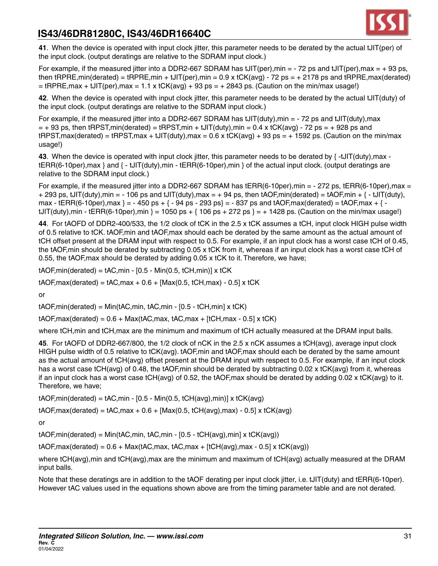

**41**. When the device is operated with input clock jitter, this parameter needs to be derated by the actual tJIT(per) of the input clock. (output deratings are relative to the SDRAM input clock.)

For example, if the measured jitter into a DDR2-667 SDRAM has  $tJIT(per)$ , min = - 72 ps and  $tJIT(per)$ , max = + 93 ps, then  $tRPRE, min(detated) = tRPRE, min + tJIT(per), min = 0.9 \times tCK(avg) - 72 ps = + 2178 ps and tRPRE, max(derated)$  $=$  tRPRE, max + tJIT(per), max = 1.1 x tCK(avg) + 93 ps = + 2843 ps. (Caution on the min/max usage!)

**42**. When the device is operated with input clock jitter, this parameter needs to be derated by the actual tJIT(duty) of the input clock. (output deratings are relative to the SDRAM input clock.)

For example, if the measured jitter into a DDR2-667 SDRAM has  $tJIT(duty)$ , min = - 72 ps and  $tJIT(duty)$ , max  $=$  + 93 ps, then tRPST,min(derated) = tRPST,min + tJIT(duty),min = 0.4 x tCK(avg) - 72 ps = + 928 ps and  $t$ RPST,max(derated) =  $t$ RPST,max +  $t$ JIT(duty),max = 0.6 x  $t$ CK(avg) + 93 ps = + 1592 ps. (Caution on the min/max usage!)

**43**. When the device is operated with input clock jitter, this parameter needs to be derated by { -tJIT(duty),max tERR(6-10per),max } and { - tJIT(duty),min - tERR(6-10per),min } of the actual input clock. (output deratings are relative to the SDRAM input clock.)

For example, if the measured jitter into a DDR2-667 SDRAM has tERR(6-10per), min =  $-272$  ps, tERR(6-10per), max = + 293 ps, tJIT(duty),min = - 106 ps and tJIT(duty),max = + 94 ps, then tAOF,min(derated) = tAOF,min +  $\{-$  tJIT(duty), max - tERR(6-10per), max } = - 450 ps + { - 94 ps - 293 ps} = - 837 ps and tAOF, max(derated) = tAOF, max + {  $t$ JIT(duty),min - tERR(6-10per),min } = 1050 ps + { 106 ps + 272 ps } = + 1428 ps. (Caution on the min/max usage!)

**44**. For tAOFD of DDR2-400/533, the 1/2 clock of tCK in the 2.5 x tCK assumes a tCH, input clock HIGH pulse width of 0.5 relative to tCK. tAOF,min and tAOF,max should each be derated by the same amount as the actual amount of tCH offset present at the DRAM input with respect to 0.5. For example, if an input clock has a worst case tCH of 0.45, the tAOF,min should be derated by subtracting 0.05 x tCK from it, whereas if an input clock has a worst case tCH of 0.55, the tAOF,max should be derated by adding 0.05 x tCK to it. Therefore, we have;

 $tAOF, min(derated) = tAC, min - [0.5 - Min(0.5, tCH, min)] \times tCK$ 

 $tAOF, max(derated) = tAC, max + 0.6 + [Max(0.5, tCH, max) - 0.5] x tCK$ 

or

 $tAOF, min(derated) = Min(tAC, min, tAC, min - [0.5 - tCH, min] x tCK)$ 

 $tAOF, max(derated) = 0.6 + Max(tAC, max, tAC, max + [tCH, max - 0.5] x tCK)$ 

where tCH,min and tCH,max are the minimum and maximum of tCH actually measured at the DRAM input balls.

**45**. For tAOFD of DDR2-667/800, the 1/2 clock of nCK in the 2.5 x nCK assumes a tCH(avg), average input clock HIGH pulse width of 0.5 relative to tCK(avg). tAOF,min and tAOF,max should each be derated by the same amount as the actual amount of tCH(avg) offset present at the DRAM input with respect to 0.5. For example, if an input clock has a worst case tCH(avg) of 0.48, the tAOF,min should be derated by subtracting 0.02 x tCK(avg) from it, whereas if an input clock has a worst case tCH(avg) of 0.52, the tAOF,max should be derated by adding 0.02 x tCK(avg) to it. Therefore, we have;

 $tAOF, min(derated) = tAC, min - [0.5 - Min(0.5, tCH(avg), min)] \times tCK(avg)$ 

 $tAOF, max(derated) = tAC, max + 0.6 + [Max(0.5, tCH(avg), max) - 0.5] \times tCK(avg)$ 

or

 $tAOF, min(derated) = Min(tAC, min, tAC, min - [0.5 - tCH(avg), min] x tCK(avg))$ 

 $tAOF, max(derated) = 0.6 + Max(tAC, max, tAC, max + [tCH(avg), max - 0.5] \times tCK(avg))$ 

where tCH(avg),min and tCH(avg),max are the minimum and maximum of tCH(avg) actually measured at the DRAM input balls.

Note that these deratings are in addition to the tAOF derating per input clock jitter, i.e. tJIT(duty) and tERR(6-10per). However tAC values used in the equations shown above are from the timing parameter table and are not derated.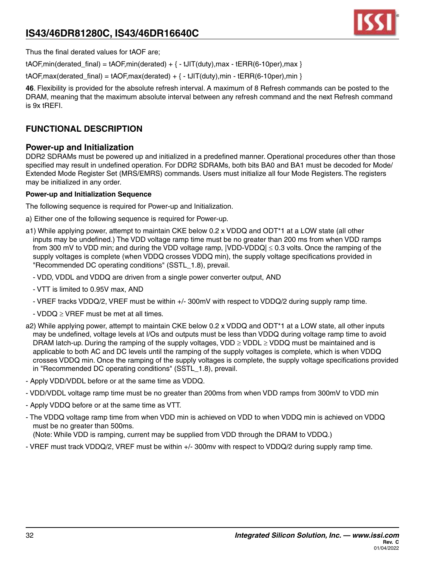

Thus the final derated values for tAOF are;

 $tAOF, min(derated final) = tAOF, min(derated) + { - tJIT(duty),max - tERR(6-10per),max }$ 

 $tAOF, max(derated final) = tAOF, max(derated) + {-tJIT(duty),min - tERR(6-10per),min }$ 

**46**. Flexibility is provided for the absolute refresh interval. A maximum of 8 Refresh commands can be posted to the DRAM, meaning that the maximum absolute interval between any refresh command and the next Refresh command is 9x tREFI.

### **FUNCTIONAL DESCRIPTION**

### **Power-up and Initialization**

DDR2 SDRAMs must be powered up and initialized in a predefined manner. Operational procedures other than those specified may result in undefined operation. For DDR2 SDRAMs, both bits BA0 and BA1 must be decoded for Mode/ Extended Mode Register Set (MRS/EMRS) commands. Users must initialize all four Mode Registers. The registers may be initialized in any order.

### **Power-up and Initialization Sequence**

The following sequence is required for Power-up and Initialization.

- a) Either one of the following sequence is required for Power-up.
- a1) While applying power, attempt to maintain CKE below 0.2 x VDDQ and ODT\*1 at a LOW state (all other inputs may be undefined.) The VDD voltage ramp time must be no greater than 200 ms from when VDD ramps from 300 mV to VDD min; and during the VDD voltage ramp, |VDD-VDDQ| ≤ 0.3 volts. Once the ramping of the supply voltages is complete (when VDDQ crosses VDDQ min), the supply voltage specifications provided in "Recommended DC operating conditions" (SSTL\_1.8), prevail.
	- VDD, VDDL and VDDQ are driven from a single power converter output, AND
	- VTT is limited to 0.95V max, AND
	- VREF tracks VDDQ/2, VREF must be within +/- 300mV with respect to VDDQ/2 during supply ramp time.
	- $-VDDQ \geq VREF$  must be met at all times.
- a2) While applying power, attempt to maintain CKE below 0.2 x VDDQ and ODT\*1 at a LOW state, all other inputs may be undefined, voltage levels at I/Os and outputs must be less than VDDQ during voltage ramp time to avoid DRAM latch-up. During the ramping of the supply voltages, VDD  $\geq$  VDDL  $\geq$  VDDQ must be maintained and is applicable to both AC and DC levels until the ramping of the supply voltages is complete, which is when VDDQ crosses VDDQ min. Once the ramping of the supply voltages is complete, the supply voltage specifications provided in "Recommended DC operating conditions" (SSTL\_1.8), prevail.
- Apply VDD/VDDL before or at the same time as VDDQ.
- VDD/VDDL voltage ramp time must be no greater than 200ms from when VDD ramps from 300mV to VDD min
- Apply VDDQ before or at the same time as VTT.
- The VDDQ voltage ramp time from when VDD min is achieved on VDD to when VDDQ min is achieved on VDDQ must be no greater than 500ms.

(Note: While VDD is ramping, current may be supplied from VDD through the DRAM to VDDQ.)

- VREF must track VDDQ/2, VREF must be within +/- 300mv with respect to VDDQ/2 during supply ramp time.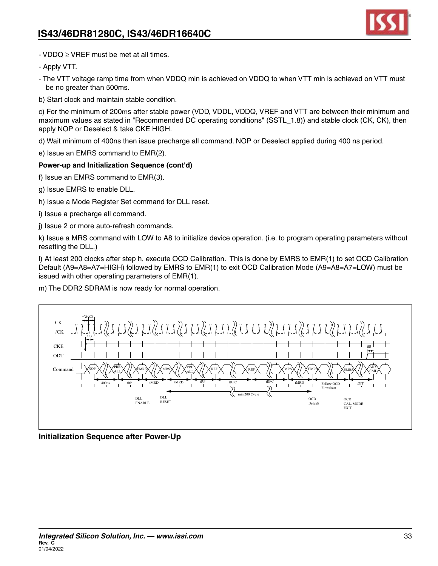

- VDDQ ≥ VREF must be met at all times.

- Apply VTT.

- The VTT voltage ramp time from when VDDQ min is achieved on VDDQ to when VTT min is achieved on VTT must be no greater than 500ms.
- b) Start clock and maintain stable condition.

c) For the minimum of 200ms after stable power (VDD, VDDL, VDDQ, VREF and VTT are between their minimum and maximum values as stated in "Recommended DC operating conditions" (SSTL\_1.8)) and stable clock (CK, CK), then apply NOP or Deselect & take CKE HIGH.

d) Wait minimum of 400ns then issue precharge all command. NOP or Deselect applied during 400 ns period.

e) Issue an EMRS command to EMR(2).

### **Power-up and Initialization Sequence (cont'd)**

f) Issue an EMRS command to EMR(3).

- g) Issue EMRS to enable DLL.
- h) Issue a Mode Register Set command for DLL reset.
- i) Issue a precharge all command.
- j) Issue 2 or more auto-refresh commands.

k) Issue a MRS command with LOW to A8 to initialize device operation. (i.e. to program operating parameters without resetting the DLL.)

l) At least 200 clocks after step h, execute OCD Calibration. This is done by EMRS to EMR(1) to set OCD Calibration Default (A9=A8=A7=HIGH) followed by EMRS to EMR(1) to exit OCD Calibration Mode (A9=A8=A7=LOW) must be issued with other operating parameters of EMR(1).

m) The DDR2 SDRAM is now ready for normal operation.



**Initialization Sequence after Power-Up**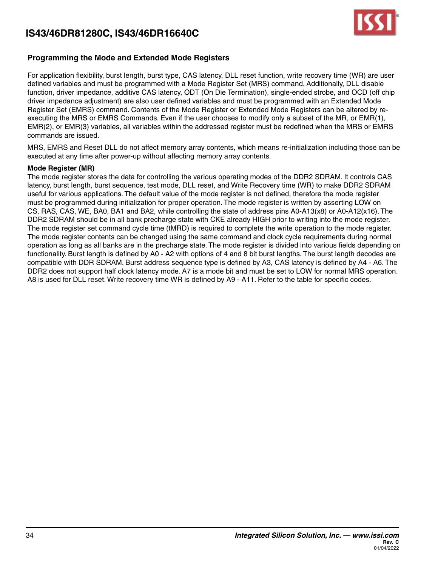

### **Programming the Mode and Extended Mode Registers**

For application flexibility, burst length, burst type, CAS latency, DLL reset function, write recovery time (WR) are user defined variables and must be programmed with a Mode Register Set (MRS) command. Additionally, DLL disable function, driver impedance, additive CAS latency, ODT (On Die Termination), single-ended strobe, and OCD (off chip driver impedance adjustment) are also user defined variables and must be programmed with an Extended Mode Register Set (EMRS) command. Contents of the Mode Register or Extended Mode Registers can be altered by reexecuting the MRS or EMRS Commands. Even if the user chooses to modify only a subset of the MR, or EMR(1), EMR(2), or EMR(3) variables, all variables within the addressed register must be redefined when the MRS or EMRS commands are issued.

MRS, EMRS and Reset DLL do not affect memory array contents, which means re-initialization including those can be executed at any time after power-up without affecting memory array contents.

#### **Mode Register (MR)**

The mode register stores the data for controlling the various operating modes of the DDR2 SDRAM. It controls CAS latency, burst length, burst sequence, test mode, DLL reset, and Write Recovery time (WR) to make DDR2 SDRAM useful for various applications. The default value of the mode register is not defined, therefore the mode register must be programmed during initialization for proper operation. The mode register is written by asserting LOW on CS, RAS, CAS, WE, BA0, BA1 and BA2, while controlling the state of address pins A0-A13(x8) or A0-A12(x16). The DDR2 SDRAM should be in all bank precharge state with CKE already HIGH prior to writing into the mode register. The mode register set command cycle time (tMRD) is required to complete the write operation to the mode register. The mode register contents can be changed using the same command and clock cycle requirements during normal operation as long as all banks are in the precharge state. The mode register is divided into various fields depending on functionality. Burst length is defined by A0 - A2 with options of 4 and 8 bit burst lengths. The burst length decodes are compatible with DDR SDRAM. Burst address sequence type is defined by A3, CAS latency is defined by A4 - A6. The DDR2 does not support half clock latency mode. A7 is a mode bit and must be set to LOW for normal MRS operation. A8 is used for DLL reset. Write recovery time WR is defined by A9 - A11. Refer to the table for specific codes.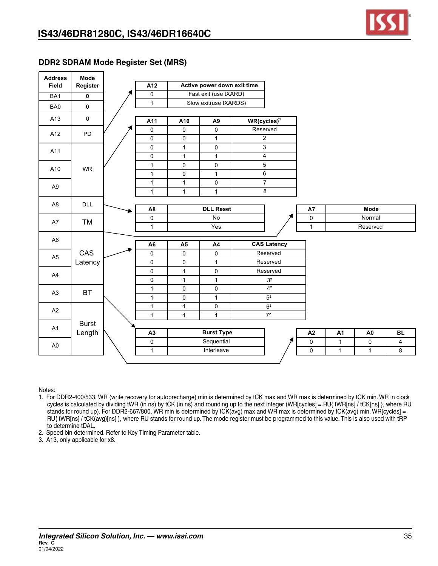

### **DDR2 SDRAM Mode Register Set (MRS)**

| <b>Address</b><br><b>Field</b> | Mode<br>Register | A12            |                                | Active power down exit time |                      |                 |                 |                |                |
|--------------------------------|------------------|----------------|--------------------------------|-----------------------------|----------------------|-----------------|-----------------|----------------|----------------|
| BA1                            | $\mathbf 0$      | $\pmb{0}$      |                                | Fast exit (use tXARD)       |                      |                 |                 |                |                |
| BA0                            | $\pmb{0}$        | $\mathbf{1}$   |                                | Slow exit(use tXARDS)       |                      |                 |                 |                |                |
| A13                            | $\mathsf 0$      | A11            | A10                            | A <sub>9</sub>              | $WR(cycles)^{1}$     |                 |                 |                |                |
| A12                            | PD               | $\pmb{0}$      | $\mathsf{O}$                   | $\mathsf{O}\xspace$         | Reserved             |                 |                 |                |                |
|                                |                  | 0              | $\pmb{0}$                      | $\mathbf{1}$                | $\overline{2}$       |                 |                 |                |                |
| A11                            |                  | 0              | $\mathbf{1}$                   | $\mathsf 0$                 | $\overline{3}$       |                 |                 |                |                |
|                                |                  | 0              | $\mathbf{1}$                   | $\mathbf{1}$                | $\overline{4}$       |                 |                 |                |                |
| A10                            | <b>WR</b>        | $\mathbf{1}$   | $\mathsf{O}\xspace$            | 0                           | 5                    |                 |                 |                |                |
|                                |                  | $\mathbf{1}$   | $\mathbf 0$                    | $\mathbf{1}$                | $\,6\,$              |                 |                 |                |                |
| A <sub>9</sub>                 |                  | $\mathbf{1}$   | $\mathbf{1}$                   | 0                           | $\overline{7}$       |                 |                 |                |                |
|                                |                  | $\mathbf{1}$   | $\mathbf{1}$                   | $\mathbf{1}$                | $\overline{8}$       |                 |                 |                |                |
| A <sub>8</sub>                 | <b>DLL</b>       |                |                                |                             |                      |                 |                 |                |                |
|                                |                  | A <sub>8</sub> |                                | <b>DLL Reset</b>            |                      | A7              |                 | <b>Mode</b>    |                |
| A7                             | TM               | 0              |                                | No                          |                      | $\pmb{0}$       |                 | Normal         |                |
|                                |                  | $\mathbf{1}$   |                                | Yes                         |                      | $\mathbf{1}$    |                 | Reserved       |                |
| A <sub>6</sub>                 |                  |                |                                |                             |                      |                 |                 |                |                |
|                                |                  | A <sub>6</sub> | <b>A5</b>                      | A4                          | <b>CAS Latency</b>   |                 |                 |                |                |
| A <sub>5</sub>                 | CAS              | 0              | $\mathsf{O}\xspace$            | $\mathsf{O}\xspace$         | Reserved<br>Reserved |                 |                 |                |                |
|                                | Latency          | $\mathsf 0$    | $\overline{0}$<br>$\mathbf{1}$ | $\mathbf{1}$                | Reserved             |                 |                 |                |                |
| A4                             |                  | $\pmb{0}$<br>0 | $\mathbf{1}$                   | 0<br>$\mathbf{1}$           | 3 <sup>2</sup>       |                 |                 |                |                |
|                                |                  | $\mathbf{1}$   | $\mathsf{O}\xspace$            | $\pmb{0}$                   | 4 <sup>2</sup>       |                 |                 |                |                |
| A <sub>3</sub>                 | <b>BT</b>        | $\mathbf{1}$   | $\overline{0}$                 | $\mathbf{1}$                | $\overline{5^2}$     |                 |                 |                |                |
|                                |                  | $\mathbf{1}$   | $\mathbf{1}$                   | $\mathsf 0$                 | $6^2\,$              |                 |                 |                |                |
| A2                             |                  | $\mathbf{1}$   | $\mathbf{1}$                   | $\mathbf{1}$                | 7 <sup>2</sup>       |                 |                 |                |                |
|                                | <b>Burst</b>     |                |                                |                             |                      |                 |                 |                |                |
| A1                             | Length           | A3             |                                | <b>Burst Type</b>           |                      | $\overline{A2}$ | $\overline{A1}$ | A <sub>0</sub> | BL             |
|                                |                  | 0              |                                | Sequential                  |                      | 0               | $\mathbf{1}$    | $\mathbf 0$    | $\overline{4}$ |
| A <sub>0</sub>                 |                  | $\mathbf{1}$   |                                | Interleave                  |                      | 0               | $\mathbf{1}$    | $\mathbf{1}$   | 8              |
|                                |                  |                |                                |                             |                      |                 |                 |                |                |

Notes:

- 1. For DDR2-400/533, WR (write recovery for autoprecharge) min is determined by tCK max and WR max is determined by tCK min. WR in clock cycles is calculated by dividing tWR (in ns) by tCK (in ns) and rounding up to the next integer (WR[cycles] = RU{ tWR[ns] / tCK[ns] }, where RU stands for round up). For DDR2-667/800, WR min is determined by tCK(avg) max and WR max is determined by tCK(avg) min. WR[cycles] = RU{ tWR[ns] / tCK(avg)[ns] }, where RU stands for round up. The mode register must be programmed to this value. This is also used with tRP to determine tDAL.
- 2. Speed bin determined. Refer to Key Timing Parameter table.

3. A13, only applicable for x8.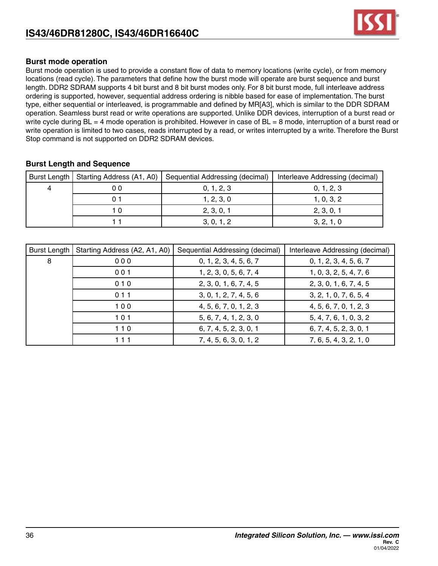

### **Burst mode operation**

Burst mode operation is used to provide a constant flow of data to memory locations (write cycle), or from memory locations (read cycle). The parameters that define how the burst mode will operate are burst sequence and burst length. DDR2 SDRAM supports 4 bit burst and 8 bit burst modes only. For 8 bit burst mode, full interleave address ordering is supported, however, sequential address ordering is nibble based for ease of implementation. The burst type, either sequential or interleaved, is programmable and defined by MR[A3], which is similar to the DDR SDRAM operation. Seamless burst read or write operations are supported. Unlike DDR devices, interruption of a burst read or write cycle during BL = 4 mode operation is prohibited. However in case of BL = 8 mode, interruption of a burst read or write operation is limited to two cases, reads interrupted by a read, or writes interrupted by a write. Therefore the Burst Stop command is not supported on DDR2 SDRAM devices.

### **Burst Length and Sequence**

|    | Burst Length   Starting Address (A1, A0)   Sequential Addressing (decimal) | Interleave Addressing (decimal) |
|----|----------------------------------------------------------------------------|---------------------------------|
| 00 | 0, 1, 2, 3                                                                 | 0, 1, 2, 3                      |
|    | 1, 2, 3, 0                                                                 | 1, 0, 3, 2                      |
|    | 2, 3, 0, 1                                                                 | 2, 3, 0, 1                      |
|    | 3, 0, 1, 2                                                                 | 3, 2, 1, 0                      |

| Burst Length | Starting Address (A2, A1, A0) | Sequential Addressing (decimal) | Interleave Addressing (decimal) |
|--------------|-------------------------------|---------------------------------|---------------------------------|
| 8            | 000                           | 0, 1, 2, 3, 4, 5, 6, 7          | 0, 1, 2, 3, 4, 5, 6, 7          |
|              | 001                           | 1, 2, 3, 0, 5, 6, 7, 4          | 1, 0, 3, 2, 5, 4, 7, 6          |
|              | 010                           | 2, 3, 0, 1, 6, 7, 4, 5          | 2, 3, 0, 1, 6, 7, 4, 5          |
|              | 011                           | 3, 0, 1, 2, 7, 4, 5, 6          | 3, 2, 1, 0, 7, 6, 5, 4          |
|              | 100                           | 4, 5, 6, 7, 0, 1, 2, 3          | 4, 5, 6, 7, 0, 1, 2, 3          |
|              | 101                           | 5, 6, 7, 4, 1, 2, 3, 0          | 5, 4, 7, 6, 1, 0, 3, 2          |
|              | $110$                         | 6, 7, 4, 5, 2, 3, 0, 1          | 6, 7, 4, 5, 2, 3, 0, 1          |
|              | 111                           | 7, 4, 5, 6, 3, 0, 1, 2          | 7, 6, 5, 4, 3, 2, 1, 0          |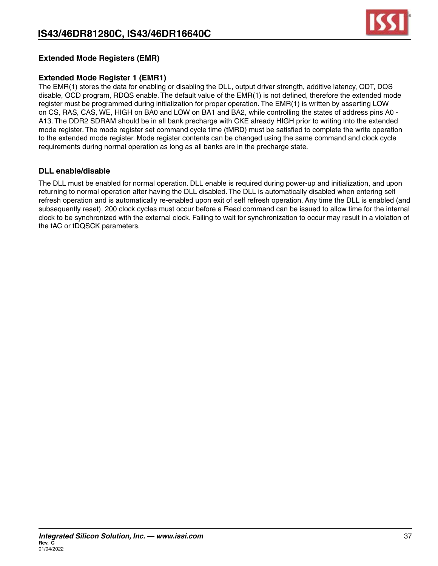

### **Extended Mode Registers (EMR)**

### **Extended Mode Register 1 (EMR1)**

The EMR(1) stores the data for enabling or disabling the DLL, output driver strength, additive latency, ODT, DQS disable, OCD program, RDQS enable. The default value of the EMR(1) is not defined, therefore the extended mode register must be programmed during initialization for proper operation. The EMR(1) is written by asserting LOW on CS, RAS, CAS, WE, HIGH on BA0 and LOW on BA1 and BA2, while controlling the states of address pins A0 - A13. The DDR2 SDRAM should be in all bank precharge with CKE already HIGH prior to writing into the extended mode register. The mode register set command cycle time (tMRD) must be satisfied to complete the write operation to the extended mode register. Mode register contents can be changed using the same command and clock cycle requirements during normal operation as long as all banks are in the precharge state.

### **DLL enable/disable**

The DLL must be enabled for normal operation. DLL enable is required during power-up and initialization, and upon returning to normal operation after having the DLL disabled. The DLL is automatically disabled when entering self refresh operation and is automatically re-enabled upon exit of self refresh operation. Any time the DLL is enabled (and subsequently reset), 200 clock cycles must occur before a Read command can be issued to allow time for the internal clock to be synchronized with the external clock. Failing to wait for synchronization to occur may result in a violation of the tAC or tDQSCK parameters.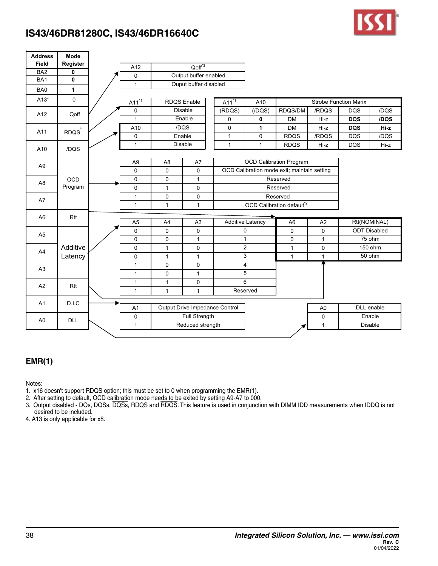| <b>Address</b><br><b>Field</b> | Mode<br>Register  |                |                |                               |                                |                         |                                             |                |                              |                     |
|--------------------------------|-------------------|----------------|----------------|-------------------------------|--------------------------------|-------------------------|---------------------------------------------|----------------|------------------------------|---------------------|
| BA <sub>2</sub>                | $\bf{0}$          | A12            |                | Q <sub>off</sub> <sup>3</sup> |                                |                         |                                             |                |                              |                     |
| BA1                            | $\mathbf{0}$      | 0              |                | Output buffer enabled         |                                |                         |                                             |                |                              |                     |
| BA0                            | $\mathbf{1}$      | 1              |                | Ouput buffer disabled         |                                |                         |                                             |                |                              |                     |
|                                |                   |                |                |                               |                                |                         |                                             |                |                              |                     |
| A13 <sup>4</sup>               | 0                 | $A11^{11}$     |                | <b>RDQS</b> Enable            | $A11^{1}$                      | A10                     |                                             |                | <b>Strobe Function Marix</b> |                     |
| A12                            | Qoff              | 0              |                | <b>Disable</b>                | (RDQS)                         | $($ /DQS $)$            | RDQS/DM                                     | /RDQS          | <b>DQS</b>                   | /DQS                |
|                                |                   | $\mathbf{1}$   |                | Enable                        | 0                              | 0                       | <b>DM</b>                                   | Hi-z           | <b>DQS</b>                   | /DQS                |
| A11                            | RDQS <sup>1</sup> | A10            |                | /DQS                          | 0                              | $\mathbf{1}$            | <b>DM</b>                                   | Hi-z           | <b>DQS</b>                   | Hi-z                |
|                                |                   | 0              |                | Enable                        | $\mathbf{1}$                   | 0                       | <b>RDQS</b>                                 | /RDQS          | <b>DQS</b>                   | /DQS                |
| A10                            | /DQS              | 1              |                | Disable                       | $\mathbf{1}$                   | $\mathbf{1}$            | <b>RDQS</b>                                 | Hi-z           | <b>DQS</b>                   | Hi-z                |
|                                |                   |                |                |                               |                                |                         |                                             |                |                              |                     |
| A <sub>9</sub>                 |                   | A <sub>9</sub> | A <sub>8</sub> | A7                            |                                |                         | <b>OCD Calibration Program</b>              |                |                              |                     |
|                                |                   | 0              | $\mathbf 0$    | 0                             |                                |                         | OCD Calibration mode exit; maintain setting |                |                              |                     |
| A <sub>8</sub>                 | <b>OCD</b>        | $\pmb{0}$      | $\mathsf 0$    | $\mathbf{1}$                  |                                |                         | Reserved                                    |                |                              |                     |
|                                | Program           | 0              | $\mathbf{1}$   | $\mathbf 0$                   |                                |                         | Reserved                                    |                |                              |                     |
| A7                             |                   | $\mathbf{1}$   | 0              | $\mathbf 0$                   |                                |                         | Reserved                                    |                |                              |                     |
|                                |                   | $\mathbf{1}$   | $\mathbf{1}$   | $\mathbf{1}$                  |                                |                         | OCD Calibration default <sup>*2</sup>       |                |                              |                     |
| A <sub>6</sub>                 | Rtt               |                |                |                               |                                |                         |                                             |                |                              |                     |
|                                |                   | A <sub>5</sub> | A4             | A <sub>3</sub>                |                                | <b>Additive Latency</b> | A <sub>6</sub>                              | A2             |                              | Rtt(NOMINAL)        |
| A <sub>5</sub>                 |                   | 0              | $\mathbf 0$    | $\mathbf 0$                   |                                | $\mathbf 0$             | 0                                           | $\mathbf 0$    |                              | <b>ODT Disabled</b> |
|                                |                   | $\mathbf 0$    | $\mathsf 0$    | $\mathbf{1}$                  |                                | 1                       | 0                                           | $\mathbf{1}$   |                              | 75 ohm              |
| A4                             | Additive          | $\mathbf 0$    | $\mathbf{1}$   | $\mathbf 0$                   |                                | $\overline{2}$          | $\mathbf{1}$                                | $\mathbf 0$    |                              | 150 ohm             |
|                                | Latency           | 0              | $\mathbf{1}$   | $\mathbf{1}$                  |                                | 3                       | $\mathbf{1}$                                | $\mathbf{1}$   |                              | 50 ohm              |
| A <sub>3</sub>                 |                   | $\mathbf{1}$   | $\mathsf 0$    | $\mathbf 0$                   |                                | 4                       |                                             |                |                              |                     |
|                                |                   | 1              | 0              | 1                             |                                | 5                       |                                             |                |                              |                     |
| A2                             | Rtt               | $\mathbf{1}$   | $\mathbf{1}$   | $\mathbf 0$                   |                                | 6                       |                                             |                |                              |                     |
|                                |                   | $\mathbf{1}$   | $\mathbf{1}$   | $\mathbf{1}$                  |                                | Reserved                |                                             |                |                              |                     |
| A1                             | D.I.C             |                |                |                               |                                |                         |                                             |                |                              |                     |
|                                |                   | A <sub>1</sub> |                |                               | Output Drive Impedance Control |                         |                                             | A <sub>0</sub> |                              | <b>DLL</b> enable   |
| A <sub>0</sub>                 | <b>DLL</b>        | 0              |                | Full Strength                 |                                |                         |                                             | 0              |                              | Enable              |
|                                |                   | 1              |                | Reduced strength              |                                |                         |                                             | $\mathbf{1}$   |                              | <b>Disable</b>      |

### **EMR(1)**

Notes:

- 1. x16 doesn't support RDQS option; this must be set to 0 when programming the EMR(1).
- 2. After setting to default, OCD calibration mode needs to be exited by setting A9-A7 to 000.
- 3. Output disabled DQs, DQSs, DQSs, RDQS and RDQS. This feature is used in conjunction with DIMM IDD measurements when IDDQ is not desired to be included.

4. A13 is only applicable for x8.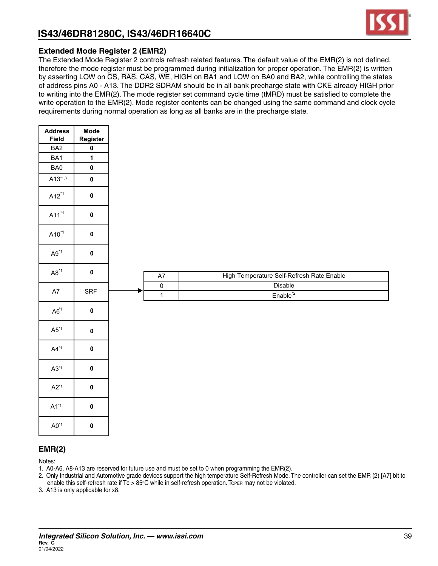

### **Extended Mode Register 2 (EMR2)**

The Extended Mode Register 2 controls refresh related features. The default value of the EMR(2) is not defined, therefore the mode register must be programmed during initialization for proper operation. The EMR(2) is written by asserting LOW on CS, RAS, CAS, WE, HIGH on BA1 and LOW on BA0 and BA2, while controlling the states of address pins A0 - A13. The DDR2 SDRAM should be in all bank precharge state with CKE already HIGH prior to writing into the EMR(2). The mode register set command cycle time (tMRD) must be satisfied to complete the write operation to the EMR(2). Mode register contents can be changed using the same command and clock cycle requirements during normal operation as long as all banks are in the precharge state.

| <b>Address</b>                 | Mode         |             |                                           |
|--------------------------------|--------------|-------------|-------------------------------------------|
| Field                          | Register     |             |                                           |
| BA <sub>2</sub>                | $\pmb{0}$    |             |                                           |
| BA1                            | $\mathbf{1}$ |             |                                           |
| BA0                            | $\pmb{0}$    |             |                                           |
| $A13^{*1,3}$                   | $\pmb{0}$    |             |                                           |
| $A12^{*1}$                     | $\pmb{0}$    |             |                                           |
| $A11^{*1}$                     | $\pmb{0}$    |             |                                           |
| $A10^{*1}$                     | $\pmb{0}$    |             |                                           |
| $A9^{*1}$                      | $\pmb{0}$    |             |                                           |
| $\mathsf{A8}^{\ast\mathsf{1}}$ | $\pmb{0}$    | A7          | High Temperature Self-Refresh Rate Enable |
| $\mathsf{A}7$                  | SRF          | $\mathbf 0$ | Disable                                   |
|                                |              | $\mathbf 1$ | $Enable^2$                                |
| $A6^{1}$                       | $\pmb{0}$    |             |                                           |
| $\mathsf{A}5^{\ast_{1}}$       | $\pmb{0}$    |             |                                           |
| $AA^*1$                        | $\pmb{0}$    |             |                                           |
| $A3^{\ast}1$                   | $\pmb{0}$    |             |                                           |
| $A2^{*1}$                      | $\pmb{0}$    |             |                                           |
| $A1^{*1}$                      | $\pmb{0}$    |             |                                           |
| $\mathsf{A}0^{\texttt{*1}}$    | $\pmb{0}$    |             |                                           |

### **EMR(2)**

Notes:

- 1. A0-A6, A8-A13 are reserved for future use and must be set to 0 when programming the EMR(2).
- 2. Only Industrial and Automotive grade devices support the high temperature Self-Refresh Mode. The controller can set the EMR (2) [A7] bit to enable this self-refresh rate if Tc > 85°C while in self-refresh operation. Topen may not be violated.
- 3. A13 is only applicable for x8.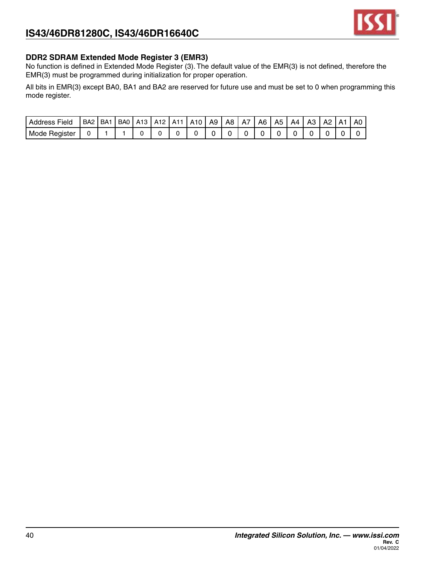

### **DDR2 SDRAM Extended Mode Register 3 (EMR3)**

No function is defined in Extended Mode Register (3). The default value of the EMR(3) is not defined, therefore the EMR(3) must be programmed during initialization for proper operation.

All bits in EMR(3) except BA0, BA1 and BA2 are reserved for future use and must be set to 0 when programming this mode register.

| Address<br>Field        | BA <sub>2</sub> | BA | B <sub>A0</sub> | A 13 | A<br>. .<br>. L | A1 | A10 | A9 | A8 | A7 | A6 | A5 | ΔД | А3 | ΔS | А | Δı |
|-------------------------|-----------------|----|-----------------|------|-----------------|----|-----|----|----|----|----|----|----|----|----|---|----|
| Mode<br><b>Hegister</b> |                 |    |                 |      |                 |    |     |    |    |    |    |    |    |    |    |   |    |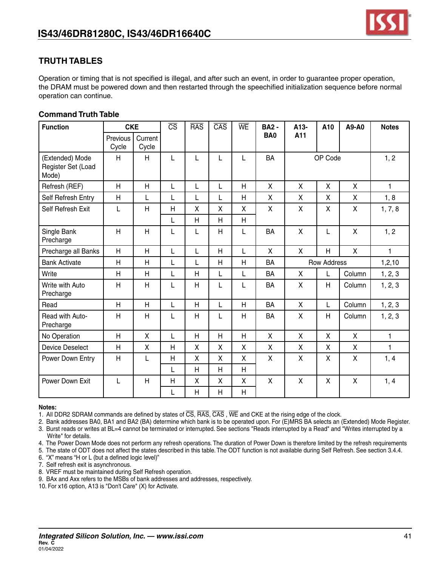

### **TRUTH TABLES**

Operation or timing that is not specified is illegal, and after such an event, in order to guarantee proper operation, the DRAM must be powered down and then restarted through the speechified initialization sequence before normal operation can continue.

### **Command Truth Table**

| <b>Function</b>                                | <b>CKE</b>              |                  | $\overline{\text{CS}}$ | <b>RAS</b> | $\overline{CAS}$ | WE           | <b>BA2 -</b>       | A13-                      | A10                     | A9-A0                     | <b>Notes</b> |
|------------------------------------------------|-------------------------|------------------|------------------------|------------|------------------|--------------|--------------------|---------------------------|-------------------------|---------------------------|--------------|
|                                                | Previous<br>Cycle       | Current<br>Cycle |                        |            |                  |              | BA <sub>0</sub>    | A11                       |                         |                           |              |
| (Extended) Mode<br>Register Set (Load<br>Mode) | H                       | H                | L                      | L          | L                | L            | <b>BA</b>          |                           | OP Code                 |                           | 1, 2         |
| Refresh (REF)                                  | H                       | H                | L                      | Г          | L                | $\mathsf{H}$ | $\pmb{\mathsf{X}}$ | X                         | X                       | X                         | $\mathbf{1}$ |
| Self Refresh Entry                             | Η                       | L                | L                      | L          | L                | H            | X                  | X                         | X                       | X                         | 1, 8         |
| Self Refresh Exit                              | L                       | H                | H                      | X          | X                | X            | $\pmb{\mathsf{X}}$ | X                         | X                       | X                         | 1, 7, 8      |
|                                                |                         |                  | L                      | H          | H                | H            |                    |                           |                         |                           |              |
| Single Bank<br>Precharge                       | $\overline{\mathsf{H}}$ | H                | L                      | L          | H                | L            | <b>BA</b>          | $\boldsymbol{\mathsf{X}}$ | L                       | $\boldsymbol{\mathsf{X}}$ | 1, 2         |
| Precharge all Banks                            | H                       | H                | L                      | L          | H                | L            | X                  | X                         | $\overline{H}$          | $\mathsf{X}$              | 1.           |
| <b>Bank Activate</b>                           | Η                       | H                | L                      | L          | Η                | H            | BA                 |                           | <b>Row Address</b>      |                           | 1,2,10       |
| Write                                          | H                       | H                | L                      | H          | L                | L            | BA                 | X                         | L                       | Column                    | 1, 2, 3      |
| Write with Auto<br>Precharge                   | Η                       | H                | L                      | H          | L                | L            | BA                 | X                         | H                       | Column                    | 1, 2, 3      |
| Read                                           | $\overline{\mathsf{H}}$ | H                | L                      | H          | L                | H            | <b>BA</b>          | $\mathsf{X}$              | L                       | Column                    | 1, 2, 3      |
| Read with Auto-<br>Precharge                   | H                       | H                | L                      | Η          | L                | H            | BA                 | X                         | $\overline{\mathsf{H}}$ | Column                    | 1, 2, 3      |
| No Operation                                   | H                       | X                | L                      | H          | H                | H            | X                  | X                         | X                       | X                         | $\mathbf{1}$ |
| <b>Device Deselect</b>                         | Η                       | X                | H                      | X          | X                | X            | X                  | X                         | X                       | X                         | 1.           |
| Power Down Entry                               | H                       | L                | H                      | X          | X                | X            | X                  | X                         | X                       | X                         | 1, 4         |
|                                                |                         |                  | L                      | H          | H                | H            |                    |                           |                         |                           |              |
| Power Down Exit                                | L                       | H                | H                      | X          | Χ                | Χ            | X                  | $\mathsf{X}$              | X                       | X                         | 1, 4         |
|                                                |                         |                  | L                      | Н          | H                | H            |                    |                           |                         |                           |              |

#### **Notes:**

1. All DDR2 SDRAM commands are defined by states of  $\overline{CS}$ ,  $\overline{RAS}$ ,  $\overline{CAS}$ ,  $\overline{WE}$  and CKE at the rising edge of the clock.

2. Bank addresses BA0, BA1 and BA2 (BA) determine which bank is to be operated upon. For (E)MRS BA selects an (Extended) Mode Register. 3. Burst reads or writes at BL=4 cannot be terminated or interrupted. See sections "Reads interrupted by a Read" and "Writes interrupted by a Write" for details.

4. The Power Down Mode does not perform any refresh operations. The duration of Power Down is therefore limited by the refresh requirements

5. The state of ODT does not affect the states described in this table. The ODT function is not available during Self Refresh. See section 3.4.4.

6. "X" means "H or L (but a defined logic level)"

7. Self refresh exit is asynchronous.

8. VREF must be maintained during Self Refresh operation.

9. BAx and Axx refers to the MSBs of bank addresses and addresses, respectively.

10. For x16 option, A13 is "Don't Care" (X) for Activate.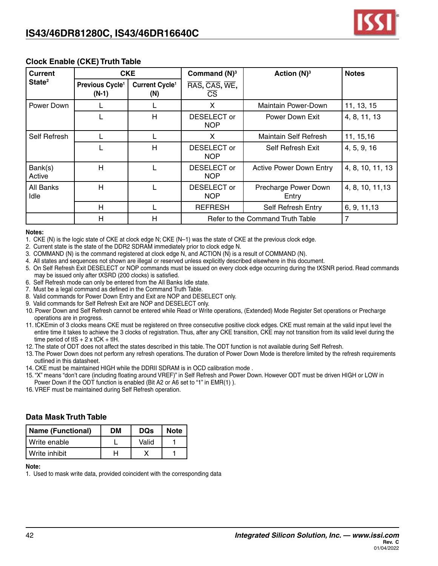

### **Clock Enable (CKE) Truth Table**

| <b>Current</b>     |                                        | <b>CKE</b>                        | Command $(N)^3$           | Action $(N)^3$                   | <b>Notes</b>     |
|--------------------|----------------------------------------|-----------------------------------|---------------------------|----------------------------------|------------------|
| State <sup>2</sup> | Previous Cycle <sup>1</sup><br>$(N-1)$ | Current Cycle <sup>1</sup><br>(N) | RAS, CAS, WE,<br>СS       |                                  |                  |
| Power Down         |                                        |                                   | X                         | Maintain Power-Down              | 11, 13, 15       |
|                    |                                        | H                                 | DESELECT or<br><b>NOP</b> | Power Down Exit                  | 4, 8, 11, 13     |
| Self Refresh       |                                        |                                   | X                         | Maintain Self Refresh            | 11, 15, 16       |
|                    |                                        | H                                 | DESELECT or<br><b>NOP</b> | Self Refresh Exit                | 4, 5, 9, 16      |
| Bank(s)<br>Active  | H                                      |                                   | DESELECT or<br><b>NOP</b> | <b>Active Power Down Entry</b>   | 4, 8, 10, 11, 13 |
| All Banks<br>Idle  | Н                                      |                                   | DESELECT or<br><b>NOP</b> | Precharge Power Down<br>Entry    | 4, 8, 10, 11, 13 |
|                    | H                                      |                                   | <b>REFRESH</b>            | Self Refresh Entry               | 6, 9, 11, 13     |
|                    | H                                      | н                                 |                           | Refer to the Command Truth Table | 7                |

#### **Notes:**

- 1. CKE (N) is the logic state of CKE at clock edge N; CKE (N–1) was the state of CKE at the previous clock edge.
- 2. Current state is the state of the DDR2 SDRAM immediately prior to clock edge N.
- 3. COMMAND (N) is the command registered at clock edge N, and ACTION (N) is a result of COMMAND (N).
- 4. All states and sequences not shown are illegal or reserved unless explicitly described elsewhere in this document.
- 5. On Self Refresh Exit DESELECT or NOP commands must be issued on every clock edge occurring during the tXSNR period. Read commands may be issued only after tXSRD (200 clocks) is satisfied.
- 6. Self Refresh mode can only be entered from the All Banks Idle state.
- 7. Must be a legal command as defined in the Command Truth Table.
- 8. Valid commands for Power Down Entry and Exit are NOP and DESELECT only.
- 9. Valid commands for Self Refresh Exit are NOP and DESELECT only.
- 10. Power Down and Self Refresh cannot be entered while Read or Write operations, (Extended) Mode Register Set operations or Precharge operations are in progress.
- 11. tCKEmin of 3 clocks means CKE must be registered on three consecutive positive clock edges. CKE must remain at the valid input level the entire time it takes to achieve the 3 clocks of registration. Thus, after any CKE transition, CKE may not transition from its valid level during the time period of tIS  $+ 2x$  tCK  $+$  tIH.
- 12. The state of ODT does not affect the states described in this table. The ODT function is not available during Self Refresh.
- 13. The Power Down does not perform any refresh operations. The duration of Power Down Mode is therefore limited by the refresh requirements outlined in this datasheet.
- 14. CKE must be maintained HIGH while the DDRII SDRAM is in OCD calibration mode .
- 15. "X" means "don't care (including floating around VREF)" in Self Refresh and Power Down. However ODT must be driven HIGH or LOW in Power Down if the ODT function is enabled (Bit A2 or A6 set to "1" in EMR(1) ).
- 16. VREF must be maintained during Self Refresh operation.

### **Data Mask Truth Table**

| Name (Functional) | DМ | <b>DOs</b> | <b>Note</b> |
|-------------------|----|------------|-------------|
| l Write enable    |    | Valid      |             |
| l Write inhibit   |    |            |             |

#### **Note:**

1. Used to mask write data, provided coincident with the corresponding data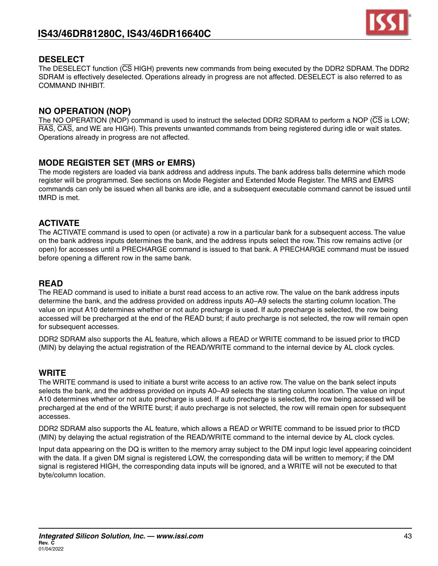

### **DESELECT**

The DESELECT function (CS HIGH) prevents new commands from being executed by the DDR2 SDRAM. The DDR2 SDRAM is effectively deselected. Operations already in progress are not affected. DESELECT is also referred to as COMMAND INHIBIT.

### **NO OPERATION (NOP)**

The NO OPERATION (NOP) command is used to instruct the selected DDR2 SDRAM to perform a NOP (CS is LOW; RAS, CAS, and WE are HIGH). This prevents unwanted commands from being registered during idle or wait states. Operations already in progress are not affected.

### **MODE REGISTER SET (MRS or EMRS)**

The mode registers are loaded via bank address and address inputs. The bank address balls determine which mode register will be programmed. See sections on Mode Register and Extended Mode Register. The MRS and EMRS commands can only be issued when all banks are idle, and a subsequent executable command cannot be issued until tMRD is met.

### **ACTIVATE**

The ACTIVATE command is used to open (or activate) a row in a particular bank for a subsequent access. The value on the bank address inputs determines the bank, and the address inputs select the row. This row remains active (or open) for accesses until a PRECHARGE command is issued to that bank. A PRECHARGE command must be issued before opening a different row in the same bank.

### **READ**

The READ command is used to initiate a burst read access to an active row. The value on the bank address inputs determine the bank, and the address provided on address inputs A0–A9 selects the starting column location. The value on input A10 determines whether or not auto precharge is used. If auto precharge is selected, the row being accessed will be precharged at the end of the READ burst; if auto precharge is not selected, the row will remain open for subsequent accesses.

DDR2 SDRAM also supports the AL feature, which allows a READ or WRITE command to be issued prior to tRCD (MIN) by delaying the actual registration of the READ/WRITE command to the internal device by AL clock cycles.

### **WRITE**

The WRITE command is used to initiate a burst write access to an active row. The value on the bank select inputs selects the bank, and the address provided on inputs A0–A9 selects the starting column location. The value on input A10 determines whether or not auto precharge is used. If auto precharge is selected, the row being accessed will be precharged at the end of the WRITE burst; if auto precharge is not selected, the row will remain open for subsequent accesses.

DDR2 SDRAM also supports the AL feature, which allows a READ or WRITE command to be issued prior to tRCD (MIN) by delaying the actual registration of the READ/WRITE command to the internal device by AL clock cycles.

Input data appearing on the DQ is written to the memory array subject to the DM input logic level appearing coincident with the data. If a given DM signal is registered LOW, the corresponding data will be written to memory; if the DM signal is registered HIGH, the corresponding data inputs will be ignored, and a WRITE will not be executed to that byte/column location.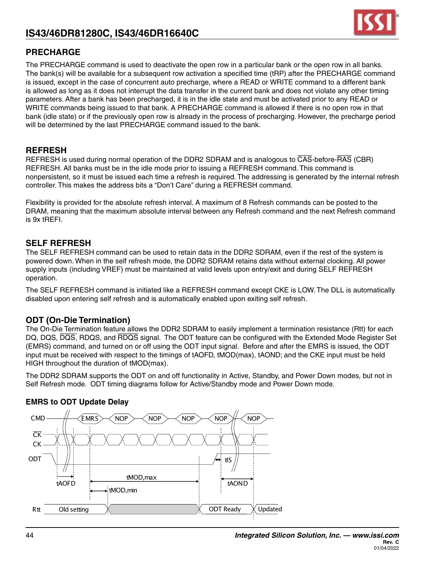

### **PRECHARGE**

The PRECHARGE command is used to deactivate the open row in a particular bank or the open row in all banks. The bank(s) will be available for a subsequent row activation a specified time (tRP) after the PRECHARGE command is issued, except in the case of concurrent auto precharge, where a READ or WRITE command to a different bank is allowed as long as it does not interrupt the data transfer in the current bank and does not violate any other timing parameters. After a bank has been precharged, it is in the idle state and must be activated prior to any READ or WRITE commands being issued to that bank. A PRECHARGE command is allowed if there is no open row in that bank (idle state) or if the previously open row is already in the process of precharging. However, the precharge period will be determined by the last PRECHARGE command issued to the bank.

### **REFRESH**

REFRESH is used during normal operation of the DDR2 SDRAM and is analogous to CAS-before-RAS (CBR) REFRESH. All banks must be in the idle mode prior to issuing a REFRESH command. This command is nonpersistent, so it must be issued each time a refresh is required. The addressing is generated by the internal refresh controller. This makes the address bits a "Don't Care" during a REFRESH command.

Flexibility is provided for the absolute refresh interval. A maximum of 8 Refresh commands can be posted to the DRAM, meaning that the maximum absolute interval between any Refresh command and the next Refresh command is 9x tREFI.

### **SELF REFRESH**

The SELF REFRESH command can be used to retain data in the DDR2 SDRAM, even if the rest of the system is powered down. When in the self refresh mode, the DDR2 SDRAM retains data without external clocking. All power supply inputs (including VREF) must be maintained at valid levels upon entry/exit and during SELF REFRESH operation.

The SELF REFRESH command is initiated like a REFRESH command except CKE is LOW. The DLL is automatically disabled upon entering self refresh and is automatically enabled upon exiting self refresh.

### **ODT (On-Die Termination)**

The On-Die Termination feature allows the DDR2 SDRAM to easily implement a termination resistance (Rtt) for each DQ, DQS, DQS, RDQS, and RDQS signal. The ODT feature can be configured with the Extended Mode Register Set (EMRS) command, and turned on or off using the ODT input signal. Before and after the EMRS is issued, the ODT input must be received with respect to the timings of tAOFD, tMOD(max), tAOND; and the CKE input must be held HIGH throughout the duration of tMOD(max).

The DDR2 SDRAM supports the ODT on and off functionality in Active, Standby, and Power Down modes, but not in Self Refresh mode. ODT timing diagrams follow for Active/Standby mode and Power Down mode.



### **EMRS to ODT Update Delay**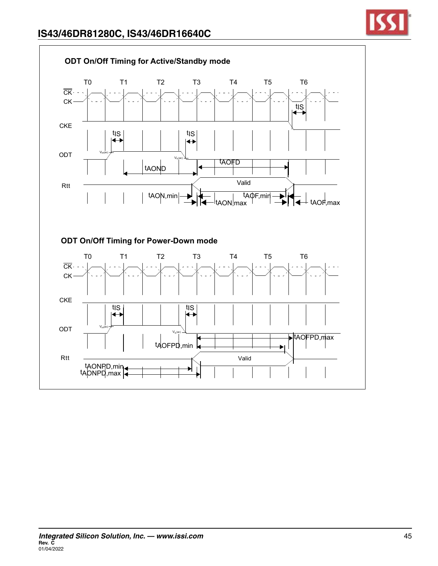

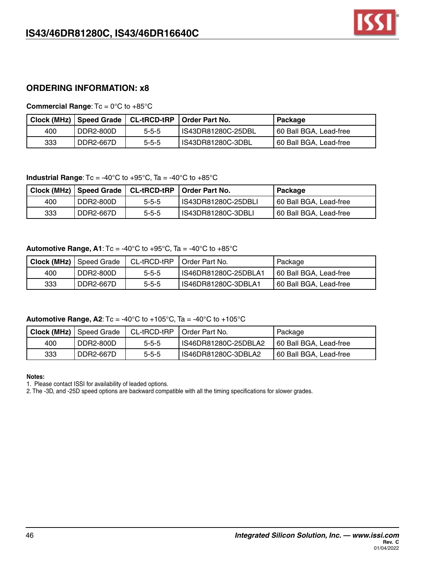

### **ORDERING INFORMATION: x8**

**Commercial Range**: Tc = 0°C to +85°C

|     |           |             | Clock (MHz)   Speed Grade   CL-tRCD-tRP   Order Part No. | Package                |
|-----|-----------|-------------|----------------------------------------------------------|------------------------|
| 400 | DDR2-800D | $5 - 5 - 5$ | IS43DR81280C-25DBL                                       | 60 Ball BGA, Lead-free |
| 333 | DDR2-667D | $5 - 5 - 5$ | IS43DR81280C-3DBL                                        | 60 Ball BGA, Lead-free |

#### **Industrial Range**: Tc = -40°C to +95°C, Ta = -40°C to +85°C

|     |           | Clock (MHz)   Speed Grade   CL-tRCD-tRP | <b>LOrder Part No.</b> | Package                |
|-----|-----------|-----------------------------------------|------------------------|------------------------|
| 400 | DDR2-800D | $5 - 5 - 5$                             | IS43DR81280C-25DBLI    | 60 Ball BGA, Lead-free |
| 333 | DDR2-667D | $5 - 5 - 5$                             | IS43DR81280C-3DBLI     | 60 Ball BGA, Lead-free |

#### **Automotive Range, A1:**  $Tc = -40^{\circ}C$  to  $+95^{\circ}C$ ,  $Ta = -40^{\circ}C$  to  $+85^{\circ}C$

|     | <b>Clock (MHz)</b> Speed Grade | CL-tRCD-tRP | I Order Part No.     | Package                |
|-----|--------------------------------|-------------|----------------------|------------------------|
| 400 | DDR2-800D                      | $5 - 5 - 5$ | IS46DR81280C-25DBLA1 | 60 Ball BGA, Lead-free |
| 333 | ' DDR2-667D                    | $5 - 5 - 5$ | IS46DR81280C-3DBLA1  | 60 Ball BGA, Lead-free |

### **Automotive Range, A2:**  $Tc = -40^{\circ}C$  to  $+105^{\circ}C$ ,  $Ta = -40^{\circ}C$  to  $+105^{\circ}C$

|     | <b>Clock (MHz)</b> Speed Grade | CL-tRCD-tRP | I Order Part No.     | Package                |
|-----|--------------------------------|-------------|----------------------|------------------------|
| 400 | DDR2-800D                      | $5 - 5 - 5$ | IS46DR81280C-25DBLA2 | 60 Ball BGA, Lead-free |
| 333 | DDR2-667D                      | $5 - 5 - 5$ | IS46DR81280C-3DBLA2  | 60 Ball BGA, Lead-free |

#### **Notes:**

1. Please contact ISSI for availability of leaded options.

2. The -3D, and -25D speed options are backward compatible with all the timing specifications for slower grades.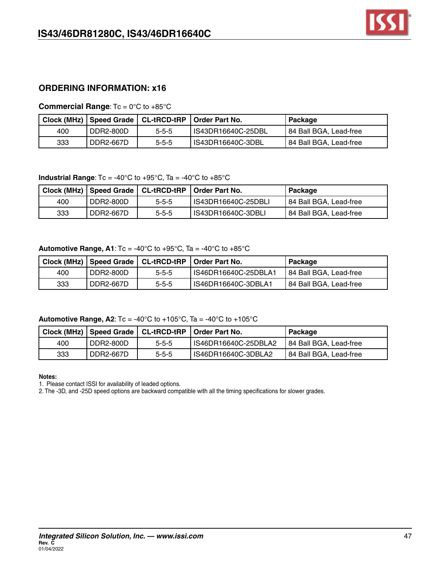### **ORDERING INFORMATION: x16**

**Commercial Range**: Tc = 0°C to +85°C

|     |           |             | Clock (MHz)   Speed Grade   CL-tRCD-tRP   Order Part No. | Package                |
|-----|-----------|-------------|----------------------------------------------------------|------------------------|
| 400 | DDR2-800D | $5 - 5 - 5$ | IS43DR16640C-25DBL                                       | 84 Ball BGA, Lead-free |
| 333 | DDR2-667D | $5 - 5 - 5$ | IS43DR16640C-3DBL                                        | 84 Ball BGA, Lead-free |

**Industrial Range:**  $Tc = -40^{\circ}C$  to  $+95^{\circ}C$ ,  $Ta = -40^{\circ}C$  to  $+85^{\circ}C$ 

|     |           |             | Clock (MHz)   Speed Grade   CL-tRCD-tRP   Order Part No. | Packaqe                |
|-----|-----------|-------------|----------------------------------------------------------|------------------------|
| 400 | DDR2-800D | $5 - 5 - 5$ | IS43DR16640C-25DBLI                                      | 84 Ball BGA, Lead-free |
| 333 | DDR2-667D | $5 - 5 - 5$ | IS43DR16640C-3DBLI                                       | 84 Ball BGA, Lead-free |

#### **Automotive Range, A1:**  $Tc = -40^{\circ}C$  to  $+95^{\circ}C$ ,  $Ta = -40^{\circ}C$  to  $+85^{\circ}C$

|     |           |             | Clock (MHz)   Speed Grade   CL-tRCD-tRP   Order Part No. | Package                |
|-----|-----------|-------------|----------------------------------------------------------|------------------------|
| 400 | DDR2-800D | $5 - 5 - 5$ | IS46DR16640C-25DBLA1                                     | 84 Ball BGA, Lead-free |
| 333 | DDR2-667D | $5 - 5 - 5$ | IS46DR16640C-3DBLA1                                      | 84 Ball BGA, Lead-free |

### **Automotive Range, A2:**  $Tc = -40^{\circ}C$  to  $+105^{\circ}C$ ,  $Ta = -40^{\circ}C$  to  $+105^{\circ}C$

|     |             |             | Clock (MHz)   Speed Grade   CL-tRCD-tRP   Order Part No. | Package                |
|-----|-------------|-------------|----------------------------------------------------------|------------------------|
| 400 | l DDR2-800D | $5 - 5 - 5$ | IS46DR16640C-25DBLA2                                     | 84 Ball BGA, Lead-free |
| 333 | DDR2-667D   | $5 - 5 - 5$ | IS46DR16640C-3DBLA2                                      | 84 Ball BGA, Lead-free |

#### **Notes:**

1. Please contact ISSI for availability of leaded options.

2. The -3D, and -25D speed options are backward compatible with all the timing specifications for slower grades.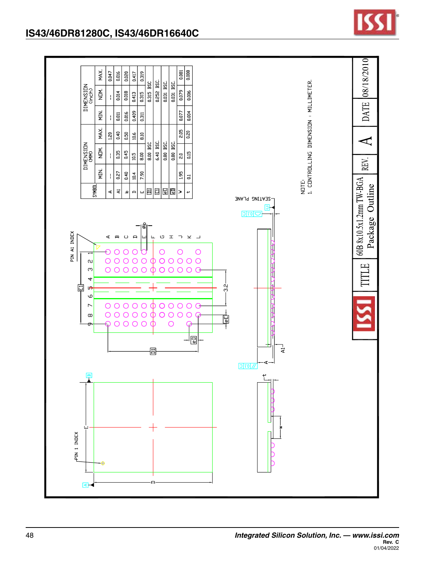